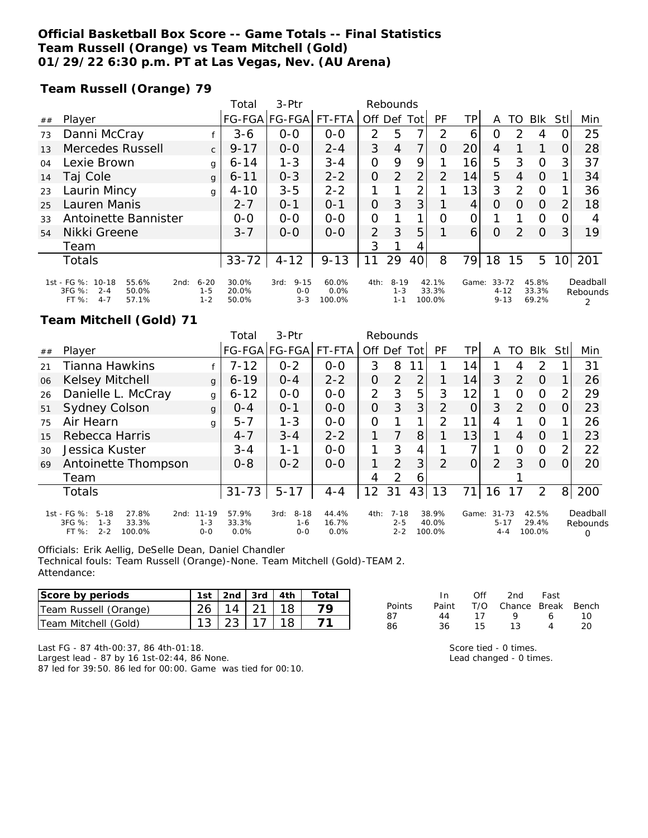## **Official Basketball Box Score -- Game Totals -- Final Statistics Team Russell (Orange) vs Team Mitchell (Gold) 01/29/22 6:30 p.m. PT at Las Vegas, Nev. (AU Arena)**

**Team Russell (Orange) 79**

|    |                                                                                             |                                | Total                   | 3-Ptr                                  | Rebounds                |                |                                |     |                          |       |                                   |               |                         |                 |                      |
|----|---------------------------------------------------------------------------------------------|--------------------------------|-------------------------|----------------------------------------|-------------------------|----------------|--------------------------------|-----|--------------------------|-------|-----------------------------------|---------------|-------------------------|-----------------|----------------------|
| ## | Player                                                                                      |                                | <b>FG-FGA</b>           | FG-FGA                                 | FT-FTA                  | Off Def        |                                | Tot | PF                       | ΤP    | A                                 | TO            | <b>BIK</b>              | Stll            | Min                  |
| 73 | Danni McCray                                                                                |                                | $3 - 6$                 | $0 - 0$                                | $O-O$                   | 2              | 5                              | 7   | $\mathcal{P}$            | 6     | 0                                 | $\mathcal{D}$ | 4                       |                 | 25                   |
| 13 | Mercedes Russell                                                                            | $\mathsf{C}$                   | $9 - 17$                | $0 - 0$                                | $2 - 4$                 | 3              | $\overline{4}$                 | 7   | $\Omega$                 | 20    | 4                                 |               |                         | 0               | 28                   |
| 04 | Lexie Brown                                                                                 | g                              | $6 - 14$                | $1 - 3$                                | $3 - 4$                 | 0              | 9                              | 9   |                          | 16    | 5                                 | 3             | $\Omega$                | 3               | 37                   |
| 14 | Taj Cole                                                                                    | g                              | $6 - 11$                | $0 - 3$                                | $2 - 2$                 | 0              | $\mathcal{P}$                  | 2   | $\mathcal{P}$            | 14    | 5                                 | 4             | $\Omega$                |                 | 34                   |
| 23 | Laurin Mincy                                                                                | g                              | $4 - 10$                | $3 - 5$                                | $2 - 2$                 | 1              |                                | 2   |                          | 13    | 3                                 | 2             | $\Omega$                |                 | 36                   |
| 25 | Lauren Manis                                                                                |                                | $2 - 7$                 | $O - 1$                                | $O - 1$                 | $\overline{O}$ | 3                              | 3   |                          | 4     | $\Omega$                          | $\Omega$      | $\Omega$                | 2               | 18                   |
| 33 | Antoinette Bannister                                                                        |                                | $0-0$                   | $O-O$                                  | $O-O$                   | 0              |                                |     | O                        | 0     |                                   |               | $\circ$                 | 0               |                      |
| 54 | Nikki Greene                                                                                |                                | $3 - 7$                 | $0 - 0$                                | $O-O$                   | 2              | 3                              | 5   |                          | 6     | $\Omega$                          | 2             | $\Omega$                | 31              | 19                   |
|    | Team                                                                                        |                                |                         |                                        |                         | 3              |                                | 4   |                          |       |                                   |               |                         |                 |                      |
|    | <b>Totals</b>                                                                               |                                | $33 - 72$               | $4 - 12$                               | $9 - 13$                | 11             | 29                             | 40  | 8                        | 79    | 18                                | 15            | 5                       | 10 <sup>1</sup> | 201                  |
|    | 1st - FG %: 10-18<br>55.6%<br>2nd:<br>3FG %:<br>50.0%<br>$2 - 4$<br>$4 - 7$<br>FT%<br>57.1% | $6 - 20$<br>$1 - 5$<br>$1 - 2$ | 30.0%<br>20.0%<br>50.0% | $9 - 15$<br>3rd:<br>$0 - 0$<br>$3 - 3$ | 60.0%<br>0.0%<br>100.0% | 4th:           | $8 - 19$<br>$1 - 3$<br>$1 - 1$ |     | 42.1%<br>33.3%<br>100.0% | Game: | $33 - 72$<br>$4 - 12$<br>$9 - 13$ |               | 45.8%<br>33.3%<br>69.2% |                 | Deadball<br>Rebounds |

## **Team Mitchell (Gold) 71**

|    |                                                                                                      |                                 | Total                  | 3-Ptr                                  | Rebounds               |          |                                |                |                          |          |                                  |                |                          |          |                      |
|----|------------------------------------------------------------------------------------------------------|---------------------------------|------------------------|----------------------------------------|------------------------|----------|--------------------------------|----------------|--------------------------|----------|----------------------------------|----------------|--------------------------|----------|----------------------|
| ## | Player                                                                                               |                                 |                        | FG-FGA FG-FGA FT-FTA                   |                        | Off      | Def                            | Totl           | PF                       | ΤP       | A                                | TO             | <b>Blk</b>               | Stl      | Min                  |
| 21 | <b>Tianna Hawkins</b>                                                                                |                                 | $7 - 12$               | $0 - 2$                                | $0 - 0$                | 3        | 8                              | 11             |                          | 14       |                                  | 4              | $\mathcal{P}$            |          | 31                   |
| 06 | Kelsey Mitchell                                                                                      | $\mathsf{q}$                    | $6 - 19$               | $0 - 4$                                | $2 - 2$                | 0        | 2                              | $\overline{2}$ |                          | 14       | 3                                | 2              | $\Omega$                 |          | 26                   |
| 26 | Danielle L. McCray                                                                                   | g                               | $6 - 12$               | $0 - 0$                                | $0 - 0$                | 2        | 3                              | 5              | 3                        | 12       |                                  | $\Omega$       | $\Omega$                 |          | 29                   |
| 51 | Sydney Colson                                                                                        | $\mathbf{q}$                    | $O - 4$                | $0 - 1$                                | $O-O$                  | 0        | 3                              | 3              | $\overline{2}$           | $\Omega$ | 3                                | 2              | $\Omega$                 |          | 23                   |
| 75 | Air Hearn                                                                                            | g                               | $5 - 7$                | 1-3                                    | $O - O$                | $\Omega$ |                                | 1              | $\mathcal{P}$            | 11       | 4                                |                | $\Omega$                 |          | 26                   |
| 15 | Rebecca Harris                                                                                       |                                 | $4 - 7$                | $3 - 4$                                | $2 - 2$                |          |                                | 8              |                          | 13       |                                  | $\overline{4}$ | $\Omega$                 |          | 23                   |
| 30 | Jessica Kuster                                                                                       |                                 | $3 - 4$                | 1-1                                    | $0 - 0$                |          | 3                              | 4              |                          |          |                                  | $\Omega$       | $\Omega$                 | 2        | 22                   |
| 69 | Antoinette Thompson                                                                                  |                                 | $0 - 8$                | $0 - 2$                                | $O-O$                  |          | $\overline{2}$                 | 3              | $\mathcal{L}$            | $\Omega$ | $\overline{2}$                   | 3              | $\Omega$                 | $\Omega$ | 20                   |
|    | Team                                                                                                 |                                 |                        |                                        |                        | 4        | 2                              | 6              |                          |          |                                  |                |                          |          |                      |
|    | <b>Totals</b>                                                                                        |                                 | $31 - 73$              | $5 - 17$                               | $4 - 4$                | 12       | 31                             | 43             | 13                       | 71       | 16                               | 17             | 2                        | 8        | 200                  |
|    | 1st - FG %:<br>$5 - 18$<br>27.8%<br>2nd:<br>3FG %:<br>$1 - 3$<br>33.3%<br>FT %:<br>$2 - 2$<br>100.0% | $11 - 19$<br>$1 - 3$<br>$0 - 0$ | 57.9%<br>33.3%<br>0.0% | $8 - 18$<br>3rd:<br>$1 - 6$<br>$0 - 0$ | 44.4%<br>16.7%<br>0.0% | 4th:     | $7 - 18$<br>$2 - 5$<br>$2 - 2$ |                | 38.9%<br>40.0%<br>100.0% | Game:    | $31 - 73$<br>$5 - 17$<br>$4 - 4$ |                | 42.5%<br>29.4%<br>100.0% |          | Deadball<br>Rebounds |

Officials: Erik Aellig, DeSelle Dean, Daniel Chandler

Technical fouls: Team Russell (Orange)-None. Team Mitchell (Gold)-TEAM 2. Attendance:

| Score by periods      | 1st $2nd$ 3rd $4th$          |  | Total |
|-----------------------|------------------------------|--|-------|
| Team Russell (Orange) | $26 \mid 14 \mid 21 \mid 18$ |  |       |
| Team Mitchell (Gold)  | $13 \mid 23 \mid 17 \mid 18$ |  |       |

|               | In In | ∩ff | 2nd Fast               |   |     |
|---------------|-------|-----|------------------------|---|-----|
| <b>Points</b> | Paint |     | T/O Chance Break Bench |   |     |
| 87            | 44    | 17  | $\alpha$               |   | 1 O |
| 86            | 36.   | 15  | 13                     | Δ | 20  |

Last FG - 87 4th-00:37, 86 4th-01:18. Largest lead - 87 by 16 1st-02:44, 86 None. 87 led for 39:50. 86 led for 00:00. Game was tied for 00:10.

Score tied - 0 times. Lead changed - 0 times.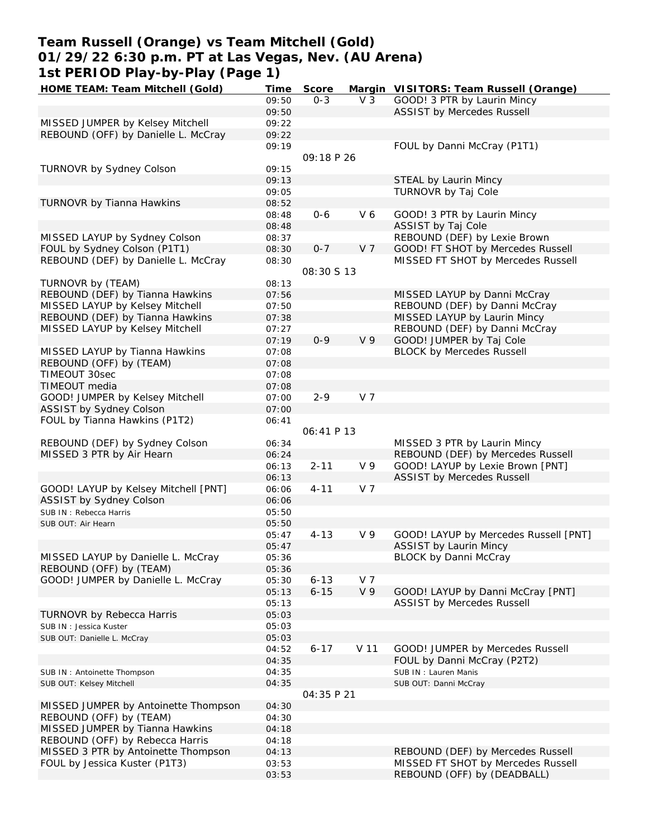# **Team Russell (Orange) vs Team Mitchell (Gold) 01/29/22 6:30 p.m. PT at Las Vegas, Nev. (AU Arena) 1st PERIOD Play-by-Play (Page 1)**

| HOME TEAM: Team Mitchell (Gold)      | Time  | Score      |                | Margin VISITORS: Team Russell (Orange) |
|--------------------------------------|-------|------------|----------------|----------------------------------------|
|                                      | 09:50 | $0 - 3$    | V <sub>3</sub> | GOOD! 3 PTR by Laurin Mincy            |
|                                      | 09:50 |            |                | ASSIST by Mercedes Russell             |
| MISSED JUMPER by Kelsey Mitchell     | 09:22 |            |                |                                        |
| REBOUND (OFF) by Danielle L. McCray  | 09:22 |            |                |                                        |
|                                      | 09:19 |            |                | FOUL by Danni McCray (P1T1)            |
|                                      |       | 09:18 P 26 |                |                                        |
| TURNOVR by Sydney Colson             | 09:15 |            |                |                                        |
|                                      | 09:13 |            |                | STEAL by Laurin Mincy                  |
|                                      | 09:05 |            |                | TURNOVR by Taj Cole                    |
| TURNOVR by Tianna Hawkins            | 08:52 |            |                |                                        |
|                                      | 08:48 | $0 - 6$    | V6             | GOOD! 3 PTR by Laurin Mincy            |
|                                      | 08:48 |            |                | ASSIST by Taj Cole                     |
| MISSED LAYUP by Sydney Colson        | 08:37 |            |                | REBOUND (DEF) by Lexie Brown           |
| FOUL by Sydney Colson (P1T1)         | 08:30 | $0 - 7$    | V 7            | GOOD! FT SHOT by Mercedes Russell      |
| REBOUND (DEF) by Danielle L. McCray  | 08:30 |            |                | MISSED FT SHOT by Mercedes Russell     |
|                                      |       | 08:30 S 13 |                |                                        |
| TURNOVR by (TEAM)                    | 08:13 |            |                |                                        |
| REBOUND (DEF) by Tianna Hawkins      | 07:56 |            |                | MISSED LAYUP by Danni McCray           |
| MISSED LAYUP by Kelsey Mitchell      | 07:50 |            |                | REBOUND (DEF) by Danni McCray          |
| REBOUND (DEF) by Tianna Hawkins      | 07:38 |            |                | MISSED LAYUP by Laurin Mincy           |
| MISSED LAYUP by Kelsey Mitchell      | 07:27 |            |                | REBOUND (DEF) by Danni McCray          |
|                                      | 07:19 | $0 - 9$    | V <sub>9</sub> | GOOD! JUMPER by Taj Cole               |
| MISSED LAYUP by Tianna Hawkins       | 07:08 |            |                | <b>BLOCK by Mercedes Russell</b>       |
| REBOUND (OFF) by (TEAM)              | 07:08 |            |                |                                        |
| TIMEOUT 30sec                        | 07:08 |            |                |                                        |
| TIMEOUT media                        | 07:08 |            |                |                                        |
| GOOD! JUMPER by Kelsey Mitchell      | 07:00 | $2 - 9$    | V <sub>7</sub> |                                        |
| ASSIST by Sydney Colson              | 07:00 |            |                |                                        |
| FOUL by Tianna Hawkins (P1T2)        | 06:41 |            |                |                                        |
|                                      |       | 06:41 P 13 |                |                                        |
| REBOUND (DEF) by Sydney Colson       | 06:34 |            |                | MISSED 3 PTR by Laurin Mincy           |
| MISSED 3 PTR by Air Hearn            | 06:24 |            |                | REBOUND (DEF) by Mercedes Russell      |
|                                      | 06:13 | $2 - 11$   | V <sub>9</sub> | GOOD! LAYUP by Lexie Brown [PNT]       |
|                                      | 06:13 |            |                |                                        |
|                                      | 06:06 |            | V 7            | <b>ASSIST by Mercedes Russell</b>      |
| GOOD! LAYUP by Kelsey Mitchell [PNT] |       | $4 - 11$   |                |                                        |
| ASSIST by Sydney Colson              | 06:06 |            |                |                                        |
| SUB IN: Rebecca Harris               | 05:50 |            |                |                                        |
| SUB OUT: Air Hearn                   | 05:50 |            | V <sub>9</sub> |                                        |
|                                      | 05:47 | $4 - 13$   |                | GOOD! LAYUP by Mercedes Russell [PNT]  |
|                                      | 05:47 |            |                | <b>ASSIST by Laurin Mincy</b>          |
| MISSED LAYUP by Danielle L. McCray   | 05:36 |            |                | <b>BLOCK by Danni McCray</b>           |
| REBOUND (OFF) by (TEAM)              | 05:36 |            |                |                                        |
| GOOD! JUMPER by Danielle L. McCray   | 05:30 | $6 - 13$   | V 7            |                                        |
|                                      | 05:13 | $6 - 15$   | V <sub>9</sub> | GOOD! LAYUP by Danni McCray [PNT]      |
|                                      | 05:13 |            |                | <b>ASSIST by Mercedes Russell</b>      |
| <b>TURNOVR by Rebecca Harris</b>     | 05:03 |            |                |                                        |
| SUB IN: Jessica Kuster               | 05:03 |            |                |                                        |
| SUB OUT: Danielle L. McCray          | 05:03 |            |                |                                        |
|                                      | 04:52 | $6 - 17$   | V 11           | GOOD! JUMPER by Mercedes Russell       |
|                                      | 04:35 |            |                | FOUL by Danni McCray (P2T2)            |
| SUB IN: Antoinette Thompson          | 04:35 |            |                | SUB IN: Lauren Manis                   |
| SUB OUT: Kelsey Mitchell             | 04:35 |            |                | SUB OUT: Danni McCray                  |
|                                      |       | 04:35 P 21 |                |                                        |
| MISSED JUMPER by Antoinette Thompson | 04:30 |            |                |                                        |
| REBOUND (OFF) by (TEAM)              | 04:30 |            |                |                                        |
| MISSED JUMPER by Tianna Hawkins      | 04:18 |            |                |                                        |
| REBOUND (OFF) by Rebecca Harris      | 04:18 |            |                |                                        |
| MISSED 3 PTR by Antoinette Thompson  | 04:13 |            |                | REBOUND (DEF) by Mercedes Russell      |
| FOUL by Jessica Kuster (P1T3)        | 03:53 |            |                | MISSED FT SHOT by Mercedes Russell     |
|                                      | 03:53 |            |                | REBOUND (OFF) by (DEADBALL)            |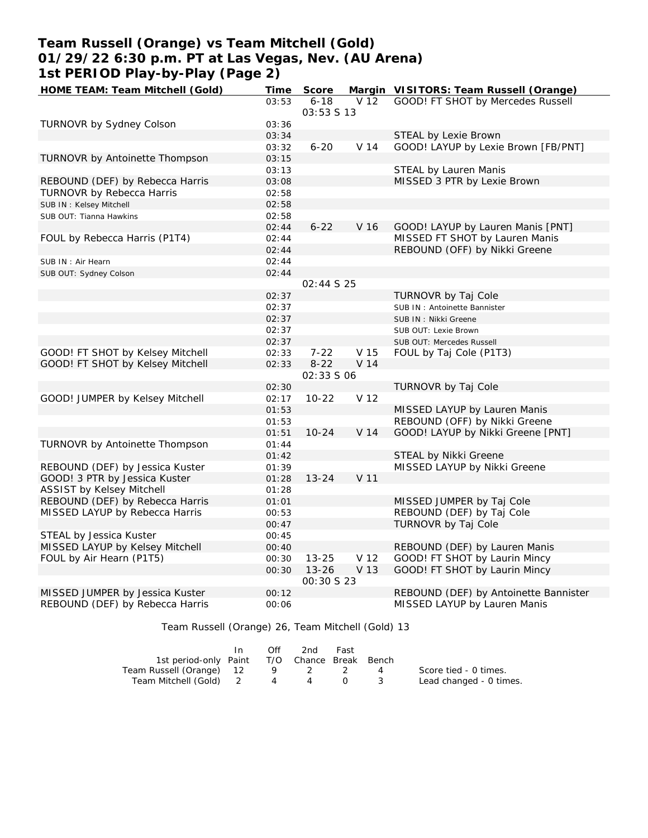# **Team Russell (Orange) vs Team Mitchell (Gold) 01/29/22 6:30 p.m. PT at Las Vegas, Nev. (AU Arena) 1st PERIOD Play-by-Play (Page 2)**

| HOME TEAM: Team Mitchell (Gold)  | Time  | Score             |                 | Margin VISITORS: Team Russell (Orange) |
|----------------------------------|-------|-------------------|-----------------|----------------------------------------|
|                                  | 03:53 | $6 - 18$          | V 12            | GOOD! FT SHOT by Mercedes Russell      |
|                                  |       | 03:53 \$ 13       |                 |                                        |
| TURNOVR by Sydney Colson         | 03:36 |                   |                 |                                        |
|                                  | 03:34 |                   |                 | STEAL by Lexie Brown                   |
|                                  | 03:32 | $6 - 20$          | V <sub>14</sub> | GOOD! LAYUP by Lexie Brown [FB/PNT]    |
| TURNOVR by Antoinette Thompson   | 03:15 |                   |                 |                                        |
|                                  | 03:13 |                   |                 | STEAL by Lauren Manis                  |
| REBOUND (DEF) by Rebecca Harris  | 03:08 |                   |                 | MISSED 3 PTR by Lexie Brown            |
| TURNOVR by Rebecca Harris        | 02:58 |                   |                 |                                        |
| SUB IN: Kelsey Mitchell          | 02:58 |                   |                 |                                        |
| SUB OUT: Tianna Hawkins          | 02:58 |                   |                 |                                        |
|                                  | 02:44 | $6 - 22$          | V 16            | GOOD! LAYUP by Lauren Manis [PNT]      |
| FOUL by Rebecca Harris (P1T4)    | 02:44 |                   |                 | MISSED FT SHOT by Lauren Manis         |
|                                  | 02:44 |                   |                 | REBOUND (OFF) by Nikki Greene          |
| SUB IN: Air Hearn                | 02:44 |                   |                 |                                        |
| SUB OUT: Sydney Colson           | 02:44 |                   |                 |                                        |
|                                  |       | 02:44 S 25        |                 |                                        |
|                                  | 02:37 |                   |                 | TURNOVR by Taj Cole                    |
|                                  | 02:37 |                   |                 | SUB IN: Antoinette Bannister           |
|                                  | 02:37 |                   |                 | SUB IN: Nikki Greene                   |
|                                  | 02:37 |                   |                 | SUB OUT: Lexie Brown                   |
|                                  | 02:37 |                   |                 | SUB OUT: Mercedes Russell              |
| GOOD! FT SHOT by Kelsey Mitchell | 02:33 | $7 - 22$          | V 15            | FOUL by Taj Cole (P1T3)                |
| GOOD! FT SHOT by Kelsey Mitchell | 02:33 | $8 - 22$          | V 14            |                                        |
|                                  |       | 02:33 5 06        |                 |                                        |
|                                  | 02:30 |                   |                 | TURNOVR by Taj Cole                    |
| GOOD! JUMPER by Kelsey Mitchell  | 02:17 | $10 - 22$         | V 12            |                                        |
|                                  | 01:53 |                   |                 | MISSED LAYUP by Lauren Manis           |
|                                  | 01:53 |                   |                 | REBOUND (OFF) by Nikki Greene          |
|                                  | 01:51 | $10 - 24$         | V 14            | GOOD! LAYUP by Nikki Greene [PNT]      |
| TURNOVR by Antoinette Thompson   | 01:44 |                   |                 |                                        |
|                                  | 01:42 |                   |                 | STEAL by Nikki Greene                  |
| REBOUND (DEF) by Jessica Kuster  | 01:39 |                   |                 | MISSED LAYUP by Nikki Greene           |
| GOOD! 3 PTR by Jessica Kuster    | 01:28 | $13 - 24$         | V <sub>11</sub> |                                        |
| <b>ASSIST by Kelsey Mitchell</b> | 01:28 |                   |                 |                                        |
| REBOUND (DEF) by Rebecca Harris  | 01:01 |                   |                 | MISSED JUMPER by Taj Cole              |
| MISSED LAYUP by Rebecca Harris   | 00:53 |                   |                 | REBOUND (DEF) by Taj Cole              |
|                                  | 00:47 |                   |                 | TURNOVR by Taj Cole                    |
| STEAL by Jessica Kuster          | 00:45 |                   |                 |                                        |
| MISSED LAYUP by Kelsey Mitchell  | 00:40 |                   |                 | REBOUND (DEF) by Lauren Manis          |
| FOUL by Air Hearn (P1T5)         | 00:30 | $13 - 25$         | V <sub>12</sub> | GOOD! FT SHOT by Laurin Mincy          |
|                                  | 00:30 | $13 - 26$         | V 13            | GOOD! FT SHOT by Laurin Mincy          |
|                                  |       | <i>00:30 S 23</i> |                 |                                        |
| MISSED JUMPER by Jessica Kuster  | 00:12 |                   |                 | REBOUND (DEF) by Antoinette Bannister  |
| REBOUND (DEF) by Rebecca Harris  | 00:06 |                   |                 | MISSED LAYUP by Lauren Manis           |
|                                  |       |                   |                 |                                        |

Team Russell (Orange) 26, Team Mitchell (Gold) 13

|                                              | In. | Off | 2nd         | Fast |          |                         |
|----------------------------------------------|-----|-----|-------------|------|----------|-------------------------|
| 1st period-only Paint T/O Chance Break Bench |     |     |             |      |          |                         |
| Team Russell (Orange) 12                     |     |     | $9 \t2 \t2$ |      | 4        | Score tied - 0 times.   |
| Team Mitchell (Gold) 2 4 4                   |     |     |             |      | $\sim$ 3 | Lead changed - 0 times. |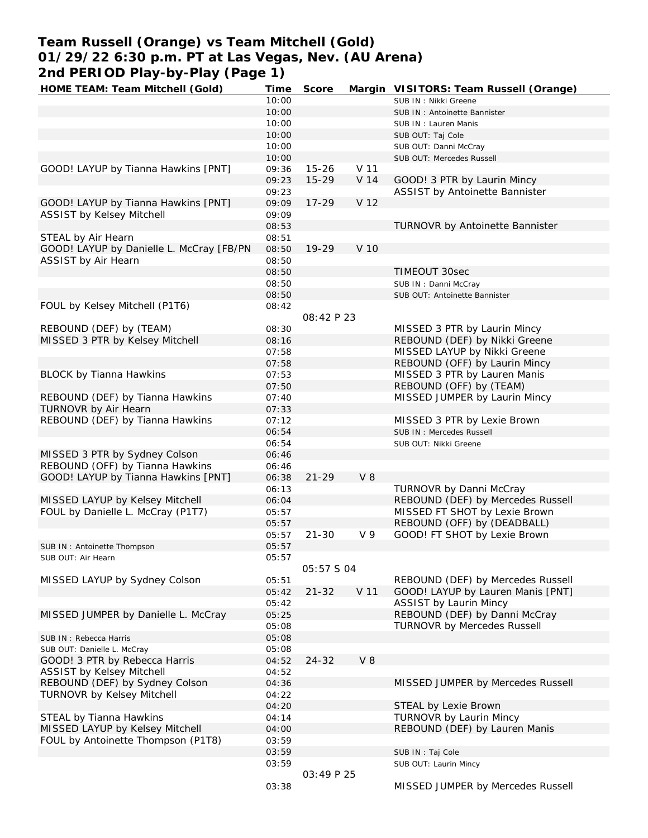# **Team Russell (Orange) vs Team Mitchell (Gold) 01/29/22 6:30 p.m. PT at Las Vegas, Nev. (AU Arena) 2nd PERIOD Play-by-Play (Page 1)**

| HOME TEAM: Team Mitchell (Gold)          | Time  | Score      |                 | Margin VISITORS: Team Russell (Orange) |
|------------------------------------------|-------|------------|-----------------|----------------------------------------|
|                                          | 10:00 |            |                 | SUB IN: Nikki Greene                   |
|                                          | 10:00 |            |                 | SUB IN: Antoinette Bannister           |
|                                          | 10:00 |            |                 | SUB IN: Lauren Manis                   |
|                                          | 10:00 |            |                 | SUB OUT: Taj Cole                      |
|                                          | 10:00 |            |                 | SUB OUT: Danni McCray                  |
|                                          | 10:00 |            |                 | SUB OUT: Mercedes Russell              |
| GOOD! LAYUP by Tianna Hawkins [PNT]      | 09:36 | $15 - 26$  | V 11            |                                        |
|                                          | 09:23 | $15 - 29$  | V 14            | GOOD! 3 PTR by Laurin Mincy            |
|                                          | 09:23 |            |                 | ASSIST by Antoinette Bannister         |
| GOOD! LAYUP by Tianna Hawkins [PNT]      | 09:09 | $17 - 29$  | V <sub>12</sub> |                                        |
| ASSIST by Kelsey Mitchell                | 09:09 |            |                 |                                        |
|                                          | 08:53 |            |                 | TURNOVR by Antoinette Bannister        |
| STEAL by Air Hearn                       | 08:51 |            |                 |                                        |
| GOOD! LAYUP by Danielle L. McCray [FB/PN | 08:50 | 19-29      | V 10            |                                        |
| ASSIST by Air Hearn                      | 08:50 |            |                 |                                        |
|                                          | 08:50 |            |                 | TIMEOUT 30sec                          |
|                                          | 08:50 |            |                 | SUB IN: Danni McCray                   |
|                                          | 08:50 |            |                 | SUB OUT: Antoinette Bannister          |
| FOUL by Kelsey Mitchell (P1T6)           | 08:42 |            |                 |                                        |
|                                          |       | 08:42 P 23 |                 |                                        |
| REBOUND (DEF) by (TEAM)                  | 08:30 |            |                 | MISSED 3 PTR by Laurin Mincy           |
| MISSED 3 PTR by Kelsey Mitchell          | 08:16 |            |                 | REBOUND (DEF) by Nikki Greene          |
|                                          | 07:58 |            |                 | MISSED LAYUP by Nikki Greene           |
|                                          |       |            |                 | REBOUND (OFF) by Laurin Mincy          |
|                                          | 07:58 |            |                 |                                        |
| <b>BLOCK by Tianna Hawkins</b>           | 07:53 |            |                 | MISSED 3 PTR by Lauren Manis           |
|                                          | 07:50 |            |                 | REBOUND (OFF) by (TEAM)                |
| REBOUND (DEF) by Tianna Hawkins          | 07:40 |            |                 | MISSED JUMPER by Laurin Mincy          |
| TURNOVR by Air Hearn                     | 07:33 |            |                 |                                        |
| REBOUND (DEF) by Tianna Hawkins          | 07:12 |            |                 | MISSED 3 PTR by Lexie Brown            |
|                                          | 06:54 |            |                 | SUB IN: Mercedes Russell               |
|                                          | 06:54 |            |                 | SUB OUT: Nikki Greene                  |
| MISSED 3 PTR by Sydney Colson            | 06:46 |            |                 |                                        |
| REBOUND (OFF) by Tianna Hawkins          | 06:46 |            |                 |                                        |
| GOOD! LAYUP by Tianna Hawkins [PNT]      | 06:38 | $21 - 29$  | V8              |                                        |
|                                          | 06:13 |            |                 | TURNOVR by Danni McCray                |
| MISSED LAYUP by Kelsey Mitchell          | 06:04 |            |                 | REBOUND (DEF) by Mercedes Russell      |
| FOUL by Danielle L. McCray (P1T7)        | 05:57 |            |                 | MISSED FT SHOT by Lexie Brown          |
|                                          | 05:57 |            |                 | REBOUND (OFF) by (DEADBALL)            |
|                                          | 05:57 | $21 - 30$  | V <sub>9</sub>  | GOOD! FT SHOT by Lexie Brown           |
| SUB IN: Antoinette Thompson              | 05:57 |            |                 |                                        |
| SUB OUT: Air Hearn                       | 05:57 |            |                 |                                        |
|                                          |       | 05:57 S 04 |                 |                                        |
| MISSED LAYUP by Sydney Colson            | 05:51 |            |                 | REBOUND (DEF) by Mercedes Russell      |
|                                          | 05:42 | $21 - 32$  | V 11            | GOOD! LAYUP by Lauren Manis [PNT]      |
|                                          | 05:42 |            |                 | <b>ASSIST by Laurin Mincy</b>          |
| MISSED JUMPER by Danielle L. McCray      | 05:25 |            |                 | REBOUND (DEF) by Danni McCray          |
|                                          | 05:08 |            |                 | <b>TURNOVR by Mercedes Russell</b>     |
| SUB IN: Rebecca Harris                   | 05:08 |            |                 |                                        |
| SUB OUT: Danielle L. McCray              | 05:08 |            |                 |                                        |
| GOOD! 3 PTR by Rebecca Harris            | 04:52 | $24 - 32$  | V8              |                                        |
| <b>ASSIST by Kelsey Mitchell</b>         | 04:52 |            |                 |                                        |
| REBOUND (DEF) by Sydney Colson           | 04:36 |            |                 | MISSED JUMPER by Mercedes Russell      |
| <b>TURNOVR by Kelsey Mitchell</b>        | 04:22 |            |                 |                                        |
|                                          | 04:20 |            |                 | STEAL by Lexie Brown                   |
| STEAL by Tianna Hawkins                  | 04:14 |            |                 | <b>TURNOVR by Laurin Mincy</b>         |
| MISSED LAYUP by Kelsey Mitchell          |       |            |                 | REBOUND (DEF) by Lauren Manis          |
| FOUL by Antoinette Thompson (P1T8)       | 04:00 |            |                 |                                        |
|                                          | 03:59 |            |                 |                                        |
|                                          | 03:59 |            |                 | SUB IN: Taj Cole                       |
|                                          | 03:59 | 03:49 P 25 |                 | SUB OUT: Laurin Mincy                  |
|                                          |       |            |                 |                                        |
|                                          | 03:38 |            |                 | MISSED JUMPER by Mercedes Russell      |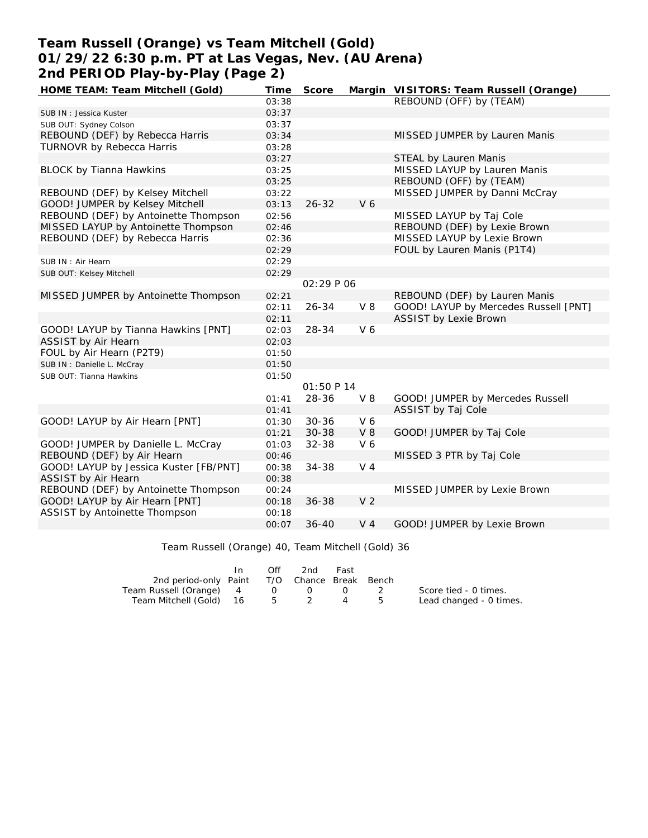# **Team Russell (Orange) vs Team Mitchell (Gold) 01/29/22 6:30 p.m. PT at Las Vegas, Nev. (AU Arena) 2nd PERIOD Play-by-Play (Page 2)**

| HOME TEAM: Team Mitchell (Gold)        | Time  | Score      |                | Margin VISITORS: Team Russell (Orange) |
|----------------------------------------|-------|------------|----------------|----------------------------------------|
|                                        | 03:38 |            |                | REBOUND (OFF) by (TEAM)                |
| SUB IN: Jessica Kuster                 | 03:37 |            |                |                                        |
| SUB OUT: Sydney Colson                 | 03:37 |            |                |                                        |
| REBOUND (DEF) by Rebecca Harris        | 03:34 |            |                | MISSED JUMPER by Lauren Manis          |
| <b>TURNOVR by Rebecca Harris</b>       | 03:28 |            |                |                                        |
|                                        | 03:27 |            |                | STEAL by Lauren Manis                  |
| <b>BLOCK by Tianna Hawkins</b>         | 03:25 |            |                | MISSED LAYUP by Lauren Manis           |
|                                        | 03:25 |            |                | REBOUND (OFF) by (TEAM)                |
| REBOUND (DEF) by Kelsey Mitchell       | 03:22 |            |                | MISSED JUMPER by Danni McCray          |
| GOOD! JUMPER by Kelsey Mitchell        | 03:13 | $26 - 32$  | V <sub>6</sub> |                                        |
| REBOUND (DEF) by Antoinette Thompson   | 02:56 |            |                | MISSED LAYUP by Taj Cole               |
| MISSED LAYUP by Antoinette Thompson    | 02:46 |            |                | REBOUND (DEF) by Lexie Brown           |
| REBOUND (DEF) by Rebecca Harris        | 02:36 |            |                | MISSED LAYUP by Lexie Brown            |
|                                        | 02:29 |            |                | FOUL by Lauren Manis (P1T4)            |
| SUB IN: Air Hearn                      | 02:29 |            |                |                                        |
| SUB OUT: Kelsey Mitchell               | 02:29 |            |                |                                        |
|                                        |       | 02:29 P 06 |                |                                        |
| MISSED JUMPER by Antoinette Thompson   | 02:21 |            |                | REBOUND (DEF) by Lauren Manis          |
|                                        | 02:11 | $26 - 34$  | $V_8$          | GOOD! LAYUP by Mercedes Russell [PNT]  |
|                                        | 02:11 |            |                | <b>ASSIST by Lexie Brown</b>           |
| GOOD! LAYUP by Tianna Hawkins [PNT]    | 02:03 | 28-34      | V <sub>6</sub> |                                        |
| ASSIST by Air Hearn                    | 02:03 |            |                |                                        |
| FOUL by Air Hearn (P2T9)               | 01:50 |            |                |                                        |
| SUB IN: Danielle L. McCray             | 01:50 |            |                |                                        |
| SUB OUT: Tianna Hawkins                | 01:50 |            |                |                                        |
|                                        |       | 01:50 P 14 |                |                                        |
|                                        | 01:41 | 28-36      | $V_8$          | GOOD! JUMPER by Mercedes Russell       |
|                                        | 01:41 |            |                | ASSIST by Taj Cole                     |
| GOOD! LAYUP by Air Hearn [PNT]         | 01:30 | $30 - 36$  | V6             |                                        |
|                                        | 01:21 | $30 - 38$  | V8             | GOOD! JUMPER by Taj Cole               |
| GOOD! JUMPER by Danielle L. McCray     | 01:03 | 32-38      | V 6            |                                        |
| REBOUND (DEF) by Air Hearn             | 00:46 |            |                | MISSED 3 PTR by Taj Cole               |
| GOOD! LAYUP by Jessica Kuster [FB/PNT] | 00:38 | $34 - 38$  | $V_4$          |                                        |
| ASSIST by Air Hearn                    | 00:38 |            |                |                                        |
| REBOUND (DEF) by Antoinette Thompson   | 00:24 |            |                | MISSED JUMPER by Lexie Brown           |
| GOOD! LAYUP by Air Hearn [PNT]         | 00:18 | $36 - 38$  | V <sub>2</sub> |                                        |
| ASSIST by Antoinette Thompson          | 00:18 |            |                |                                        |
|                                        | 00:07 | $36 - 40$  | V <sub>4</sub> | GOOD! JUMPER by Lexie Brown            |

Team Russell (Orange) 40, Team Mitchell (Gold) 36

|                                              | In. | Off | 2nd               | Fast                   |                         |
|----------------------------------------------|-----|-----|-------------------|------------------------|-------------------------|
| 2nd period-only Paint T/O Chance Break Bench |     |     |                   |                        |                         |
| Team Russell (Orange) 4                      |     |     | $\Omega$ $\Omega$ | $\left( \quad \right)$ | Score tied - 0 times.   |
| Team Mitchell (Gold) 16 5 2 4 5              |     |     |                   |                        | Lead changed - 0 times. |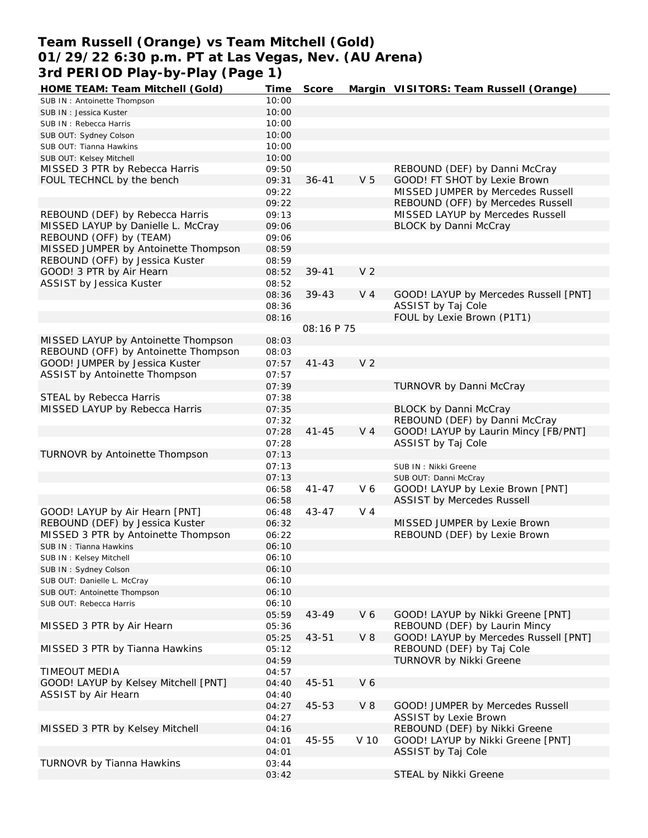# **Team Russell (Orange) vs Team Mitchell (Gold) 01/29/22 6:30 p.m. PT at Las Vegas, Nev. (AU Arena) 3rd PERIOD Play-by-Play (Page 1)**

| HOME TEAM: Team Mitchell (Gold)                  | Time  | Score      |                | Margin VISITORS: Team Russell (Orange) |
|--------------------------------------------------|-------|------------|----------------|----------------------------------------|
| SUB IN: Antoinette Thompson                      | 10:00 |            |                |                                        |
| SUB IN: Jessica Kuster                           | 10:00 |            |                |                                        |
| SUB IN: Rebecca Harris                           | 10:00 |            |                |                                        |
| SUB OUT: Sydney Colson                           | 10:00 |            |                |                                        |
| SUB OUT: Tianna Hawkins                          | 10:00 |            |                |                                        |
| SUB OUT: Kelsey Mitchell                         | 10:00 |            |                |                                        |
| MISSED 3 PTR by Rebecca Harris                   | 09:50 |            |                | REBOUND (DEF) by Danni McCray          |
| FOUL TECHNCL by the bench                        | 09:31 | $36 - 41$  | V <sub>5</sub> | GOOD! FT SHOT by Lexie Brown           |
|                                                  | 09:22 |            |                | MISSED JUMPER by Mercedes Russell      |
|                                                  | 09:22 |            |                | REBOUND (OFF) by Mercedes Russell      |
| REBOUND (DEF) by Rebecca Harris                  | 09:13 |            |                | MISSED LAYUP by Mercedes Russell       |
|                                                  |       |            |                |                                        |
| MISSED LAYUP by Danielle L. McCray               | 09:06 |            |                | <b>BLOCK by Danni McCray</b>           |
| REBOUND (OFF) by (TEAM)                          | 09:06 |            |                |                                        |
| MISSED JUMPER by Antoinette Thompson             | 08:59 |            |                |                                        |
| REBOUND (OFF) by Jessica Kuster                  | 08:59 |            |                |                                        |
| GOOD! 3 PTR by Air Hearn                         | 08:52 | $39 - 41$  | V <sub>2</sub> |                                        |
| ASSIST by Jessica Kuster                         | 08:52 |            |                |                                        |
|                                                  | 08:36 | $39 - 43$  | V <sub>4</sub> | GOOD! LAYUP by Mercedes Russell [PNT]  |
|                                                  | 08:36 |            |                | ASSIST by Taj Cole                     |
|                                                  | 08:16 |            |                | FOUL by Lexie Brown (P1T1)             |
|                                                  |       | 08:16 P 75 |                |                                        |
| MISSED LAYUP by Antoinette Thompson              | 08:03 |            |                |                                        |
| REBOUND (OFF) by Antoinette Thompson             | 08:03 |            |                |                                        |
| GOOD! JUMPER by Jessica Kuster                   | 07:57 | $41 - 43$  | V <sub>2</sub> |                                        |
| ASSIST by Antoinette Thompson                    | 07:57 |            |                |                                        |
|                                                  |       |            |                |                                        |
|                                                  | 07:39 |            |                | TURNOVR by Danni McCray                |
| STEAL by Rebecca Harris                          | 07:38 |            |                |                                        |
| MISSED LAYUP by Rebecca Harris                   | 07:35 |            |                | <b>BLOCK by Danni McCray</b>           |
|                                                  | 07:32 |            |                | REBOUND (DEF) by Danni McCray          |
|                                                  | 07:28 | $41 - 45$  | V <sub>4</sub> | GOOD! LAYUP by Laurin Mincy [FB/PNT]   |
|                                                  | 07:28 |            |                | ASSIST by Taj Cole                     |
| TURNOVR by Antoinette Thompson                   | 07:13 |            |                |                                        |
|                                                  | 07:13 |            |                | SUB IN: Nikki Greene                   |
|                                                  | 07:13 |            |                | SUB OUT: Danni McCray                  |
|                                                  | 06:58 | $41 - 47$  | V6             | GOOD! LAYUP by Lexie Brown [PNT]       |
|                                                  | 06:58 |            |                | <b>ASSIST by Mercedes Russell</b>      |
| GOOD! LAYUP by Air Hearn [PNT]                   | 06:48 | $43 - 47$  | $V_4$          |                                        |
| REBOUND (DEF) by Jessica Kuster                  | 06:32 |            |                | MISSED JUMPER by Lexie Brown           |
| MISSED 3 PTR by Antoinette Thompson              | 06:22 |            |                | REBOUND (DEF) by Lexie Brown           |
| SUB IN: Tianna Hawkins                           | 06:10 |            |                |                                        |
|                                                  | 06:10 |            |                |                                        |
| SUB IN: Kelsey Mitchell<br>SUB IN: Sydney Colson |       |            |                |                                        |
|                                                  | 06:10 |            |                |                                        |
| SUB OUT: Danielle L. McCray                      | 06:10 |            |                |                                        |
| SUB OUT: Antoinette Thompson                     | 06:10 |            |                |                                        |
| SUB OUT: Rebecca Harris                          | 06:10 |            |                |                                        |
|                                                  | 05:59 | 43-49      | V6             | GOOD! LAYUP by Nikki Greene [PNT]      |
| MISSED 3 PTR by Air Hearn                        | 05:36 |            |                | REBOUND (DEF) by Laurin Mincy          |
|                                                  | 05:25 | $43 - 51$  | $V_8$          | GOOD! LAYUP by Mercedes Russell [PNT]  |
| MISSED 3 PTR by Tianna Hawkins                   | 05:12 |            |                | REBOUND (DEF) by Taj Cole              |
|                                                  | 04:59 |            |                | TURNOVR by Nikki Greene                |
| <b>TIMEOUT MEDIA</b>                             | 04:57 |            |                |                                        |
| GOOD! LAYUP by Kelsey Mitchell [PNT]             | 04:40 | $45 - 51$  | V6             |                                        |
| ASSIST by Air Hearn                              | 04:40 |            |                |                                        |
|                                                  | 04:27 | 45-53      | $V_8$          | GOOD! JUMPER by Mercedes Russell       |
|                                                  | 04:27 |            |                | <b>ASSIST by Lexie Brown</b>           |
| MISSED 3 PTR by Kelsey Mitchell                  | 04:16 |            |                | REBOUND (DEF) by Nikki Greene          |
|                                                  |       | 45-55      | V 10           | GOOD! LAYUP by Nikki Greene [PNT]      |
|                                                  | 04:01 |            |                |                                        |
|                                                  | 04:01 |            |                | ASSIST by Taj Cole                     |
| TURNOVR by Tianna Hawkins                        | 03:44 |            |                |                                        |
|                                                  | 03:42 |            |                | STEAL by Nikki Greene                  |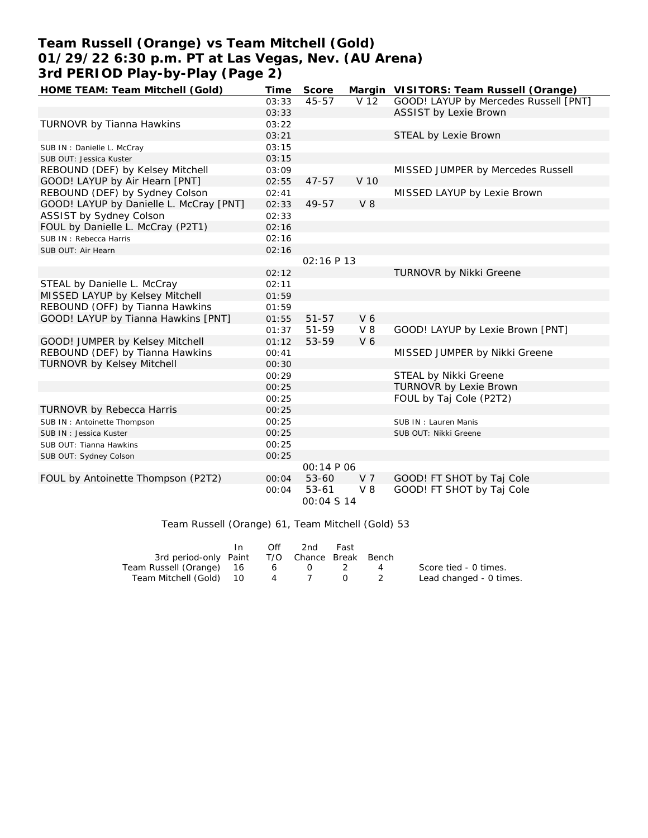# **Team Russell (Orange) vs Team Mitchell (Gold) 01/29/22 6:30 p.m. PT at Las Vegas, Nev. (AU Arena) 3rd PERIOD Play-by-Play (Page 2)**

| HOME TEAM: Team Mitchell (Gold)         | Time  | Score      |                | Margin VISITORS: Team Russell (Orange) |
|-----------------------------------------|-------|------------|----------------|----------------------------------------|
|                                         | 03:33 | 45-57      | V 12           | GOOD! LAYUP by Mercedes Russell [PNT]  |
|                                         | 03:33 |            |                | <b>ASSIST by Lexie Brown</b>           |
| TURNOVR by Tianna Hawkins               | 03:22 |            |                |                                        |
|                                         | 03:21 |            |                | STEAL by Lexie Brown                   |
| SUB IN: Danielle L. McCray              | 03:15 |            |                |                                        |
| SUB OUT: Jessica Kuster                 | 03:15 |            |                |                                        |
| REBOUND (DEF) by Kelsey Mitchell        | 03:09 |            |                | MISSED JUMPER by Mercedes Russell      |
| GOOD! LAYUP by Air Hearn [PNT]          | 02:55 | $47 - 57$  | V 10           |                                        |
| REBOUND (DEF) by Sydney Colson          | 02:41 |            |                | MISSED LAYUP by Lexie Brown            |
| GOOD! LAYUP by Danielle L. McCray [PNT] | 02:33 | 49-57      | V8             |                                        |
| ASSIST by Sydney Colson                 | 02:33 |            |                |                                        |
| FOUL by Danielle L. McCray (P2T1)       | 02:16 |            |                |                                        |
| SUB IN: Rebecca Harris                  | 02:16 |            |                |                                        |
| SUB OUT: Air Hearn                      | 02:16 |            |                |                                        |
|                                         |       | 02:16 P 13 |                |                                        |
|                                         | 02:12 |            |                | TURNOVR by Nikki Greene                |
| STEAL by Danielle L. McCray             | 02:11 |            |                |                                        |
| MISSED LAYUP by Kelsey Mitchell         | 01:59 |            |                |                                        |
| REBOUND (OFF) by Tianna Hawkins         | 01:59 |            |                |                                        |
| GOOD! LAYUP by Tianna Hawkins [PNT]     | 01:55 | $51 - 57$  | V <sub>6</sub> |                                        |
|                                         | 01:37 | 51-59      | $V_8$          | GOOD! LAYUP by Lexie Brown [PNT]       |
| GOOD! JUMPER by Kelsey Mitchell         | 01:12 | 53-59      | V 6            |                                        |
| REBOUND (DEF) by Tianna Hawkins         | 00:41 |            |                | MISSED JUMPER by Nikki Greene          |
| <b>TURNOVR by Kelsey Mitchell</b>       | 00:30 |            |                |                                        |
|                                         | 00:29 |            |                | STEAL by Nikki Greene                  |
|                                         | 00:25 |            |                | TURNOVR by Lexie Brown                 |
|                                         | 00:25 |            |                | FOUL by Taj Cole (P2T2)                |
| <b>TURNOVR by Rebecca Harris</b>        | 00:25 |            |                |                                        |
| SUB IN: Antoinette Thompson             | 00:25 |            |                | SUB IN: Lauren Manis                   |
| SUB IN: Jessica Kuster                  | 00:25 |            |                | SUB OUT: Nikki Greene                  |
| SUB OUT: Tianna Hawkins                 | 00:25 |            |                |                                        |
| SUB OUT: Sydney Colson                  | 00:25 |            |                |                                        |
|                                         |       | 00:14 P 06 |                |                                        |
| FOUL by Antoinette Thompson (P2T2)      | 00:04 | $53 - 60$  | V <sub>7</sub> | GOOD! FT SHOT by Taj Cole              |
|                                         | 00:04 | $53 - 61$  | $V_8$          | GOOD! FT SHOT by Taj Cole              |
|                                         |       | 00:04 S 14 |                |                                        |
|                                         |       |            |                |                                        |

## Team Russell (Orange) 61, Team Mitchell (Gold) 53

|                                              | Off             | 2nd | Fast                                                           |   |                         |
|----------------------------------------------|-----------------|-----|----------------------------------------------------------------|---|-------------------------|
| 3rd period-only Paint T/O Chance Break Bench |                 |     |                                                                |   |                         |
| Team Russell (Orange) 16                     | $6\overline{6}$ |     |                                                                | 4 | Score tied - 0 times.   |
| Team Mitchell (Gold) 10                      |                 | 4 7 | $\left( \begin{array}{ccc} 1 & 1 \\ 1 & 1 \end{array} \right)$ |   | Lead changed - 0 times. |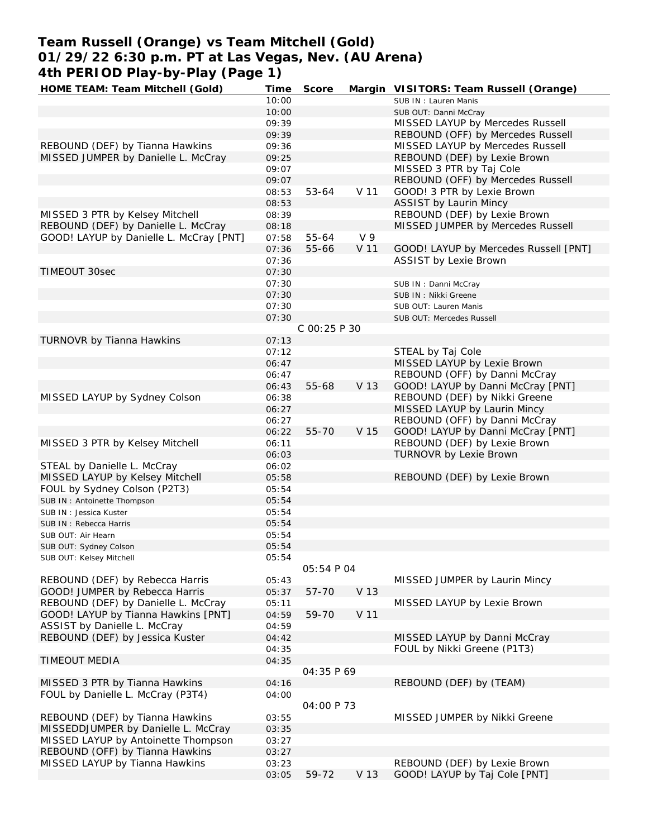# **Team Russell (Orange) vs Team Mitchell (Gold) 01/29/22 6:30 p.m. PT at Las Vegas, Nev. (AU Arena) 4th PERIOD Play-by-Play (Page 1)**<br>HOME TEAM: Team Mitchell (Gold) Time

| 401 PERTOD PIAY-DY-PIAY (PAYE T)        |       |              |                 |                                        |
|-----------------------------------------|-------|--------------|-----------------|----------------------------------------|
| HOME TEAM: Team Mitchell (Gold)         | Time  | Score        |                 | Margin VISITORS: Team Russell (Orange) |
|                                         | 10:00 |              |                 | SUB IN: Lauren Manis                   |
|                                         | 10:00 |              |                 | SUB OUT: Danni McCray                  |
|                                         | 09:39 |              |                 | MISSED LAYUP by Mercedes Russell       |
|                                         | 09:39 |              |                 | REBOUND (OFF) by Mercedes Russell      |
| REBOUND (DEF) by Tianna Hawkins         | 09:36 |              |                 | MISSED LAYUP by Mercedes Russell       |
| MISSED JUMPER by Danielle L. McCray     | 09:25 |              |                 | REBOUND (DEF) by Lexie Brown           |
|                                         | 09:07 |              |                 | MISSED 3 PTR by Taj Cole               |
|                                         | 09:07 |              |                 | REBOUND (OFF) by Mercedes Russell      |
|                                         | 08:53 | 53-64        | V <sub>11</sub> | GOOD! 3 PTR by Lexie Brown             |
|                                         | 08:53 |              |                 | <b>ASSIST by Laurin Mincy</b>          |
| MISSED 3 PTR by Kelsey Mitchell         | 08:39 |              |                 | REBOUND (DEF) by Lexie Brown           |
| REBOUND (DEF) by Danielle L. McCray     | 08:18 |              |                 | MISSED JUMPER by Mercedes Russell      |
|                                         |       |              | V <sub>9</sub>  |                                        |
| GOOD! LAYUP by Danielle L. McCray [PNT] | 07:58 | 55-64        |                 |                                        |
|                                         | 07:36 | 55-66        | V 11            | GOOD! LAYUP by Mercedes Russell [PNT]  |
|                                         | 07:36 |              |                 | <b>ASSIST by Lexie Brown</b>           |
| <b>TIMEOUT 30sec</b>                    | 07:30 |              |                 |                                        |
|                                         | 07:30 |              |                 | SUB IN: Danni McCray                   |
|                                         | 07:30 |              |                 | SUB IN: Nikki Greene                   |
|                                         | 07:30 |              |                 | SUB OUT: Lauren Manis                  |
|                                         | 07:30 |              |                 | SUB OUT: Mercedes Russell              |
|                                         |       | C 00:25 P 30 |                 |                                        |
| TURNOVR by Tianna Hawkins               | 07:13 |              |                 |                                        |
|                                         | 07:12 |              |                 | STEAL by Taj Cole                      |
|                                         | 06:47 |              |                 | MISSED LAYUP by Lexie Brown            |
|                                         | 06:47 |              |                 | REBOUND (OFF) by Danni McCray          |
|                                         | 06:43 | 55-68        | V 13            | GOOD! LAYUP by Danni McCray [PNT]      |
| MISSED LAYUP by Sydney Colson           | 06:38 |              |                 | REBOUND (DEF) by Nikki Greene          |
|                                         |       |              |                 |                                        |
|                                         | 06:27 |              |                 | MISSED LAYUP by Laurin Mincy           |
|                                         | 06:27 |              |                 | REBOUND (OFF) by Danni McCray          |
|                                         | 06:22 | 55-70        | V 15            | GOOD! LAYUP by Danni McCray [PNT]      |
| MISSED 3 PTR by Kelsey Mitchell         | 06:11 |              |                 | REBOUND (DEF) by Lexie Brown           |
|                                         | 06:03 |              |                 | TURNOVR by Lexie Brown                 |
| STEAL by Danielle L. McCray             | 06:02 |              |                 |                                        |
| MISSED LAYUP by Kelsey Mitchell         | 05:58 |              |                 | REBOUND (DEF) by Lexie Brown           |
| FOUL by Sydney Colson (P2T3)            | 05:54 |              |                 |                                        |
| SUB IN: Antoinette Thompson             | 05:54 |              |                 |                                        |
| SUB IN: Jessica Kuster                  | 05:54 |              |                 |                                        |
| SUB IN: Rebecca Harris                  | 05:54 |              |                 |                                        |
| SUB OUT: Air Hearn                      | 05:54 |              |                 |                                        |
| SUB OUT: Sydney Colson                  | 05:54 |              |                 |                                        |
| SUB OUT: Kelsey Mitchell                | 05:54 |              |                 |                                        |
|                                         |       | 05:54 P 04   |                 |                                        |
|                                         |       |              |                 | MISSED JUMPER by Laurin Mincy          |
| REBOUND (DEF) by Rebecca Harris         | 05:43 |              |                 |                                        |
| GOOD! JUMPER by Rebecca Harris          | 05:37 | 57-70        | V 13            |                                        |
| REBOUND (DEF) by Danielle L. McCray     | 05:11 |              |                 | MISSED LAYUP by Lexie Brown            |
| GOOD! LAYUP by Tianna Hawkins [PNT]     | 04:59 | 59-70        | V <sub>11</sub> |                                        |
| ASSIST by Danielle L. McCray            | 04:59 |              |                 |                                        |
| REBOUND (DEF) by Jessica Kuster         | 04:42 |              |                 | MISSED LAYUP by Danni McCray           |
|                                         | 04:35 |              |                 | FOUL by Nikki Greene (P1T3)            |
| TIMEOUT MEDIA                           | 04:35 |              |                 |                                        |
|                                         |       | 04:35 P 69   |                 |                                        |
| MISSED 3 PTR by Tianna Hawkins          | 04:16 |              |                 | REBOUND (DEF) by (TEAM)                |
| FOUL by Danielle L. McCray (P3T4)       | 04:00 |              |                 |                                        |
|                                         |       | 04:00 P 73   |                 |                                        |
| REBOUND (DEF) by Tianna Hawkins         | 03:55 |              |                 | MISSED JUMPER by Nikki Greene          |
| MISSEDDJUMPER by Danielle L. McCray     | 03:35 |              |                 |                                        |
| MISSED LAYUP by Antoinette Thompson     |       |              |                 |                                        |
|                                         | 03:27 |              |                 |                                        |
| REBOUND (OFF) by Tianna Hawkins         | 03:27 |              |                 |                                        |
| MISSED LAYUP by Tianna Hawkins          | 03:23 |              |                 | REBOUND (DEF) by Lexie Brown           |
|                                         | 03:05 | 59-72        | V 13            | GOOD! LAYUP by Taj Cole [PNT]          |
|                                         |       |              |                 |                                        |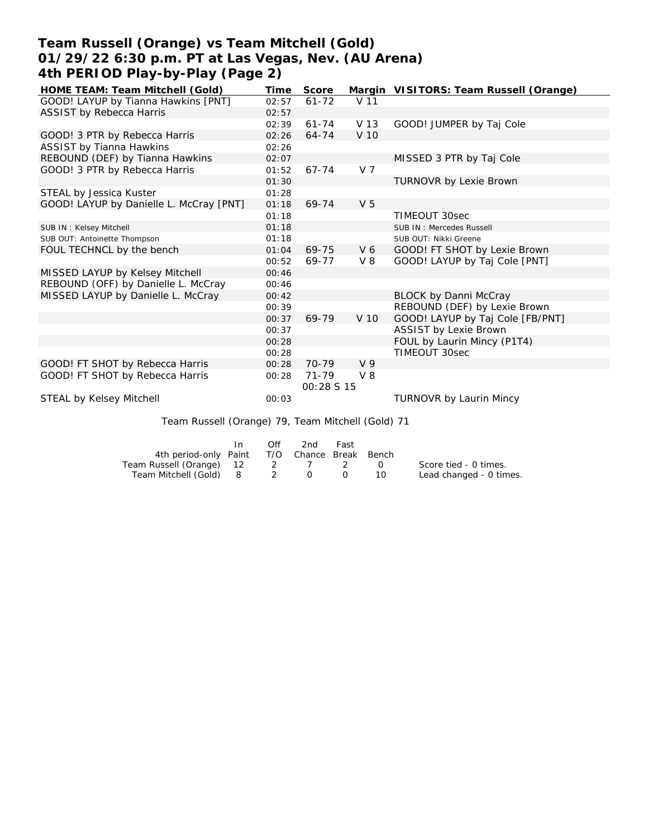# **Team Russell (Orange) vs Team Mitchell (Gold) 01/29/22 6:30 p.m. PT at Las Vegas, Nev. (AU Arena) 4th PERIOD Play-by-Play (Page 2)**

| HOME TEAM: Team Mitchell (Gold)                   | Time     | Score           |                    | Margin VISITORS: Team Russell (Orange) |
|---------------------------------------------------|----------|-----------------|--------------------|----------------------------------------|
| GOOD! LAYUP by Tianna Hawkins [PNT]               | 02:57    | $61 - 72$       | V 11               |                                        |
| <b>ASSIST by Rebecca Harris</b>                   | 02:57    |                 |                    |                                        |
|                                                   | 02:39    | $61 - 74$       | V 13               | GOOD! JUMPER by Taj Cole               |
| GOOD! 3 PTR by Rebecca Harris                     | 02:26    | $64 - 74$       | V 10               |                                        |
| <b>ASSIST by Tianna Hawkins</b>                   | 02:26    |                 |                    |                                        |
| REBOUND (DEF) by Tianna Hawkins                   | 02:07    |                 |                    | MISSED 3 PTR by Taj Cole               |
| GOOD! 3 PTR by Rebecca Harris                     | 01:52    | 67-74           | V <sub>7</sub>     |                                        |
|                                                   | 01:30    |                 |                    | TURNOVR by Lexie Brown                 |
| STEAL by Jessica Kuster                           | 01:28    |                 |                    |                                        |
| GOOD! LAYUP by Danielle L. McCray [PNT]           | 01:18    | 69-74           | V <sub>5</sub>     |                                        |
|                                                   | 01:18    |                 |                    | TIMEOUT 30sec                          |
| SUB IN: Kelsey Mitchell                           | 01:18    |                 |                    | SUB IN: Mercedes Russell               |
| SUB OUT: Antoinette Thompson                      | 01:18    |                 |                    | SUB OUT: Nikki Greene                  |
| FOUL TECHNCL by the bench                         | 01:04    | 69-75           | V <sub>6</sub>     | GOOD! FT SHOT by Lexie Brown           |
|                                                   | 00:52    | 69-77           | V 8                | GOOD! LAYUP by Taj Cole [PNT]          |
| MISSED LAYUP by Kelsey Mitchell                   | 00:46    |                 |                    |                                        |
| REBOUND (OFF) by Danielle L. McCray               | 00:46    |                 |                    |                                        |
| MISSED LAYUP by Danielle L. McCray                | 00:42    |                 |                    | <b>BLOCK by Danni McCray</b>           |
|                                                   | 00:39    |                 |                    | REBOUND (DEF) by Lexie Brown           |
|                                                   | 00:37    | 69-79           | V 10               | GOOD! LAYUP by Taj Cole [FB/PNT]       |
|                                                   | 00:37    |                 |                    | <b>ASSIST by Lexie Brown</b>           |
|                                                   | 00:28    |                 |                    | FOUL by Laurin Mincy (P1T4)            |
|                                                   | 00:28    |                 |                    | TIMEOUT 30sec                          |
| GOOD! FT SHOT by Rebecca Harris                   | 00:28    | $70 - 79$       | V <sub>9</sub>     |                                        |
| GOOD! FT SHOT by Rebecca Harris                   | 00:28    | $71 - 79$       | $V_8$              |                                        |
|                                                   |          | 00:28 S 15      |                    |                                        |
| STEAL by Kelsey Mitchell                          | 00:03    |                 |                    | TURNOVR by Laurin Mincy                |
|                                                   |          |                 |                    |                                        |
| Team Russell (Orange) 79, Team Mitchell (Gold) 71 |          |                 |                    |                                        |
| In                                                | Off      | 2 <sub>nd</sub> | Fast               |                                        |
| 4th period-only Paint                             | T/O      |                 | Chance Break Bench |                                        |
| $ToomDuccell (Oronac)$ 12                         | $\Omega$ | $\overline{ }$  |                    | $Converto find$ $N + imce$             |

| Team Russell (Orange) 12 |  |  | Score tied - 0 times.   |
|--------------------------|--|--|-------------------------|
| Team Mitchell (Gold) 8   |  |  | Lead changed - 0 times. |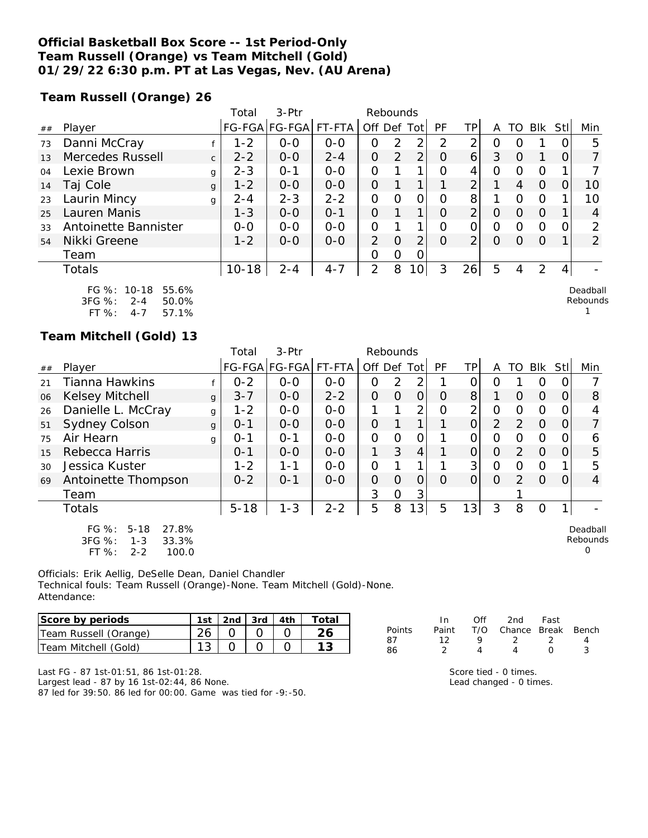## **Official Basketball Box Score -- 1st Period-Only Team Russell (Orange) vs Team Mitchell (Gold) 01/29/22 6:30 p.m. PT at Las Vegas, Nev. (AU Arena)**

**Team Russell (Orange) 26**

|    |                                                       |              | Total     | $3-$ Ptr      |         | Rebounds       |                |                 |           |                |   |          |            |      |                      |
|----|-------------------------------------------------------|--------------|-----------|---------------|---------|----------------|----------------|-----------------|-----------|----------------|---|----------|------------|------|----------------------|
| ## | Player                                                |              |           | FG-FGA FG-FGA | FT-FTA  | Off Def Tot    |                |                 | <b>PF</b> | ТP             | А | TO       | <b>BIK</b> | Stll | Min                  |
| 73 | Danni McCray                                          |              | $1 - 2$   | $0 - 0$       | $0 - 0$ | O              | 2              | 2               | 2         | 2              | 0 |          |            |      | 5                    |
| 13 | Mercedes Russell                                      | $\mathsf{C}$ | $2 - 2$   | $0 - 0$       | $2 - 4$ | $\Omega$       | $\overline{2}$ | $\overline{2}$  | $\Omega$  | 6              | 3 | O        |            |      |                      |
| 04 | Lexie Brown                                           | g            | $2 - 3$   | $O - 1$       | $0 - 0$ | $\Omega$       |                | 1               | Ω         | 4              | Ω | Ω        | $\Omega$   |      |                      |
| 14 | Taj Cole                                              | g            | $1 - 2$   | $0-0$         | $0-0$   | $\Omega$       |                | 1               |           | $\overline{2}$ |   | 4        | $\Omega$   | Ο    | 10                   |
| 23 | Laurin Mincy                                          | g            | $2 - 4$   | $2 - 3$       | $2 - 2$ | $\Omega$       | $\Omega$       | $\overline{O}$  | Ω         | 8              |   | Ω        | $\Omega$   |      | 10                   |
| 25 | Lauren Manis                                          |              | $1 - 3$   | $0 - 0$       | $O - 1$ | $\Omega$       |                | 1               | O         | $\overline{2}$ | O | $\Omega$ | $\Omega$   |      | 4                    |
| 33 | Antoinette Bannister                                  |              | $0-0$     | $0 - 0$       | $0 - 0$ | $\mathcal{O}$  |                | 1               | Ω         | 0              | Ο | Ω        | 0          |      | $\mathcal{P}$        |
| 54 | Nikki Greene                                          |              | $1 - 2$   | $0 - 0$       | $0 - 0$ | $\overline{2}$ | $\Omega$       | $\overline{2}$  | $\Omega$  | 2 <sub>1</sub> | O | Ω        | $\Omega$   |      | $\overline{2}$       |
|    | Team                                                  |              |           |               |         | O              | $\Omega$       | 0               |           |                |   |          |            |      |                      |
|    | <b>Totals</b>                                         |              | $10 - 18$ | $2 - 4$       | $4 - 7$ | 2              | 8              | 10 <sup>1</sup> | 3         | 26             | 5 | 4        | 2          | 4    |                      |
|    | FG %:<br>10-18<br>55.6%<br>3FG %:<br>50.0%<br>$2 - 4$ |              |           |               |         |                |                |                 |           |                |   |          |            |      | Deadball<br>Rebounds |

3FG %: 2-4 50.0% FT %: 4-7 57.1%

### **Team Mitchell (Gold) 13**

|    |                                                                                            |              | Total    | 3-Ptr         |         | Rebounds       |          |                |           |                |                |               |          |      |                           |
|----|--------------------------------------------------------------------------------------------|--------------|----------|---------------|---------|----------------|----------|----------------|-----------|----------------|----------------|---------------|----------|------|---------------------------|
| ## | Player                                                                                     |              |          | FG-FGA FG-FGA | FT-FTA  | Off Def Tot    |          |                | <b>PF</b> | TPI            | A              | TO            | Blk      | Stll | Min                       |
| 21 | <b>Tianna Hawkins</b>                                                                      |              | $0 - 2$  | $0 - 0$       | $0-0$   | 0              | 2        | 2              |           | 0              | O              |               | O        | 0    |                           |
| 06 | Kelsey Mitchell                                                                            | $\mathbf{q}$ | $3 - 7$  | $0-0$         | $2 - 2$ | $\mathcal{O}$  | $\Omega$ | $\overline{O}$ | $\Omega$  | 8 <sup>1</sup> |                | $\Omega$      | $\Omega$ | O    | 8                         |
| 26 | Danielle L. McCray                                                                         | g            | $1 - 2$  | $0-0$         | $0 - 0$ |                |          | 2              | 0         | 2              | $\overline{O}$ | 0             | 0        | 0    |                           |
| 51 | <b>Sydney Colson</b>                                                                       | g            | $0 - 1$  | $0-0$         | $0 - 0$ | $\mathcal{O}$  |          |                |           | $\overline{O}$ | $\overline{2}$ | $\mathcal{P}$ | 0        | 0    |                           |
| 75 | Air Hearn                                                                                  | g            | $O - 1$  | $O - 1$       | $0-0$   | $\overline{O}$ | $\Omega$ | $\overline{O}$ |           | $\Omega$       | $\Omega$       | 0             | $\circ$  | 0    | 6                         |
| 15 | Rebecca Harris                                                                             |              | $O - 1$  | $0-0$         | $O - O$ | 1.             | 3        | 4              |           | $\Omega$       | $\Omega$       | 2             | $\Omega$ | 0    | 5                         |
| 30 | Jessica Kuster                                                                             |              | $1 - 2$  | $1 - 1$       | $0-0$   | $\Omega$       |          |                |           | 3              | $\Omega$       | $\Omega$      | O        |      | 5                         |
| 69 | Antoinette Thompson                                                                        |              | $0 - 2$  | $O - 1$       | $0-0$   | 0              | $\Omega$ | 0              | $\Omega$  | $\Omega$       | $\Omega$       | $\mathcal{P}$ | $\Omega$ | 0    | 4                         |
|    | Team                                                                                       |              |          |               |         | 3              | O        | 3              |           |                |                |               |          |      |                           |
|    | <b>Totals</b>                                                                              |              | $5 - 18$ | $1 - 3$       | $2 - 2$ | 5              | 8        | 13             | 5         | 13             | 3              | 8             | 0        |      |                           |
|    | 27.8%<br>FG $%$ :<br>$5 - 18$<br>$3FG \%$<br>33.3%<br>$1 - 3$<br>FT %:<br>$2 - 2$<br>100.0 |              |          |               |         |                |          |                |           |                |                |               |          |      | Deadball<br>Rebounds<br>Ω |

Officials: Erik Aellig, DeSelle Dean, Daniel Chandler Technical fouls: Team Russell (Orange)-None. Team Mitchell (Gold)-None. Attendance:

| Score by periods      | 1st | $2nd$ $3rd$ $4th$ |  | Total |
|-----------------------|-----|-------------------|--|-------|
| Team Russell (Orange) |     |                   |  |       |
| Team Mitchell (Gold)  |     |                   |  |       |

| In. |   |     |                                                                 |
|-----|---|-----|-----------------------------------------------------------------|
|     |   |     |                                                                 |
| 12. | o |     | Δ                                                               |
| 2   | Δ | n   | ર                                                               |
|     |   | Off | 2nd Fast<br>Paint T/O Chance Break Bench<br>$\gamma$ , $\gamma$ |

Score tied - 0 times. Lead changed - 0 times. 1

Last FG - 87 1st-01:51, 86 1st-01:28.

Largest lead - 87 by 16 1st-02:44, 86 None.

87 led for 39:50. 86 led for 00:00. Game was tied for -9:-50.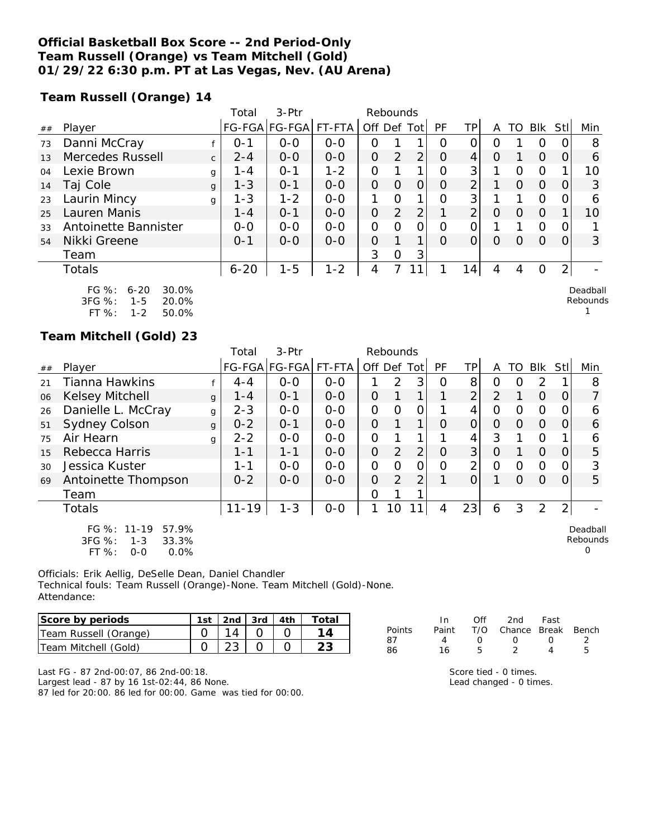## **Official Basketball Box Score -- 2nd Period-Only Team Russell (Orange) vs Team Mitchell (Gold) 01/29/22 6:30 p.m. PT at Las Vegas, Nev. (AU Arena)**

**Team Russell (Orange) 14**

|    |                                                              |              | Total    | $3-$ Ptr             |         | Rebounds       |                |                |          |                |   |                  |          |                |                      |
|----|--------------------------------------------------------------|--------------|----------|----------------------|---------|----------------|----------------|----------------|----------|----------------|---|------------------|----------|----------------|----------------------|
| ## | Player                                                       |              |          | FG-FGA FG-FGA FT-FTA |         | Off Def Tot    |                |                | PF       | TP.            | A | TO               | Blk      | Stll           | Min                  |
| 73 | Danni McCray                                                 |              | $O - 1$  | $0-0$                | $0 - 0$ | 0              |                | 1              | 0        |                | Ο |                  | O        |                | 8                    |
| 13 | Mercedes Russell                                             | $\mathsf{C}$ | $2 - 4$  | $0 - 0$              | $0 - 0$ | 0              | 2              | $\overline{2}$ | $\Omega$ | 4              | O |                  | $\Omega$ | Ο              | 6                    |
| 04 | Lexie Brown                                                  | g            | 1-4      | $O - 1$              | $1 - 2$ | $\Omega$       |                | 1              | Ω        | 3              |   | Ω                | 0        |                | 10                   |
| 14 | Taj Cole                                                     | g            | $1 - 3$  | $0 - 1$              | $0 - 0$ | $\Omega$       | 0              | 0              | O        | $\overline{2}$ |   | Ο                | $\Omega$ | Ο              | 3                    |
| 23 | Laurin Mincy                                                 | g            | $1 - 3$  | $1 - 2$              | $O - O$ | 1              | $\Omega$       | 1              | Ω        | 3              |   |                  | O        |                | 6                    |
| 25 | Lauren Manis                                                 |              | $1 - 4$  | $O - 1$              | $0 - 0$ | $\Omega$       | $\overline{2}$ | 2              |          | $\overline{2}$ | O | Ω                | $\Omega$ |                | 10                   |
| 33 | Antoinette Bannister                                         |              | $0 - 0$  | $0 - 0$              | $0 - 0$ | $\overline{O}$ | $\Omega$       | 0              | Ω        | 0              |   |                  | 0        |                |                      |
| 54 | Nikki Greene                                                 |              | $O - 1$  | $0 - 0$              | $0 - 0$ | $\Omega$       |                | 1              | $\Omega$ | Ω              | Ω | $\left( \right)$ | $\Omega$ | Ω              | 3                    |
|    | Team                                                         |              |          |                      |         | 3              | $\overline{O}$ | 3              |          |                |   |                  |          |                |                      |
|    | <b>Totals</b>                                                |              | $6 - 20$ | $1 - 5$              | $1 - 2$ | 4              |                |                |          | 14             | 4 | 4                | 0        | $\overline{2}$ |                      |
|    | $FG \%$ :<br>30.0%<br>$6 - 20$<br>3FG %:<br>20.0%<br>$1 - 5$ |              |          |                      |         |                |                |                |          |                |   |                  |          |                | Deadball<br>Rebounds |

FT %: 1-2 50.0%

### **Team Mitchell (Gold) 23**

|    |                                                                                   |              | Total     | $3-Ptr$       |         | Rebounds       |               |                |          |                |          |          |          |      |                           |
|----|-----------------------------------------------------------------------------------|--------------|-----------|---------------|---------|----------------|---------------|----------------|----------|----------------|----------|----------|----------|------|---------------------------|
| ## | Player                                                                            |              |           | FG-FGA FG-FGA | FT-FTA  | Off Def Tot    |               |                | PF       | TPI            | A        | TO       | Blk      | Stll | Min                       |
| 21 | <b>Tianna Hawkins</b>                                                             |              | $4 - 4$   | $0 - 0$       | $0 - 0$ |                | $\mathcal{P}$ | 3              | $\Omega$ | 8              | 0        | Ω        | 2        |      | 8                         |
| 06 | Kelsey Mitchell                                                                   | g            | $1 - 4$   | $0 - 1$       | $0 - 0$ | 0              |               |                |          | $\overline{2}$ | 2        |          | $\Omega$ | 0    | $\overline{7}$            |
| 26 | Danielle L. McCray                                                                | g            | $2 - 3$   | $O-O$         | $0-0$   | O              | $\Omega$      | $\overline{O}$ |          | 4              | 0        | 0        | 0        | 0    | 6                         |
| 51 | <b>Sydney Colson</b>                                                              | $\mathbf{q}$ | $0 - 2$   | $0 - 1$       | $0 - 0$ | $\overline{O}$ |               |                | $\Omega$ | $\Omega$       | $\Omega$ | $\Omega$ | $\Omega$ | 0    | 6                         |
| 75 | Air Hearn                                                                         | g            | $2 - 2$   | $0-0$         | $0-0$   | $\overline{O}$ |               |                |          | 4              | 3        |          | $\circ$  |      | 6                         |
| 15 | Rebecca Harris                                                                    |              | $1 - 1$   | $1 - 1$       | $0 - 0$ | $\overline{O}$ | 2             | $\overline{2}$ | $\Omega$ | 3              | $\Omega$ |          | $\Omega$ | O    | 5                         |
| 30 | Jessica Kuster                                                                    |              | 1-1       | $0 - 0$       | $0 - 0$ | $\overline{O}$ | $\Omega$      | $\overline{O}$ | O        | $\overline{2}$ | $\Omega$ | $\Omega$ | $\circ$  | 0    | 3                         |
| 69 | Antoinette Thompson                                                               |              | $0 - 2$   | $0 - 0$       | $0-0$   | 0              | 2             | 2              |          | 0              |          | $\Omega$ | $\Omega$ | 0    | 5                         |
|    | Team                                                                              |              |           |               |         | 0              |               |                |          |                |          |          |          |      |                           |
|    | Totals                                                                            |              | $11 - 19$ | $1 - 3$       | $0-0$   | 1              | 10            | $\mathbf{1}$   | 4        | 23             | 6        | 3        | 2        | 2    |                           |
|    | FG $\%$ : 11-19<br>57.9%<br>3FG %:<br>$1 - 3$<br>33.3%<br>FT%<br>$0.0\%$<br>$O-O$ |              |           |               |         |                |               |                |          |                |          |          |          |      | Deadball<br>Rebounds<br>O |

Officials: Erik Aellig, DeSelle Dean, Daniel Chandler Technical fouls: Team Russell (Orange)-None. Team Mitchell (Gold)-None. Attendance:

| Score by periods      | 1st   2nd   3rd   4th |  | Total |
|-----------------------|-----------------------|--|-------|
| Team Russell (Orange) |                       |  |       |
| Team Mitchell (Gold)  |                       |  |       |

|        | In. | ∩ff              | 2nd                          | Fast             |    |
|--------|-----|------------------|------------------------------|------------------|----|
| Points |     |                  | Paint T/O Chance Break Bench |                  |    |
| 87     | 4   | $\left( \right)$ | $\cup$                       | $\left( \right)$ | -2 |
| 86     | 16  | Б.               |                              | Δ                | ц  |

Score tied - 0 times. Lead changed - 0 times. 1

Last FG - 87 2nd-00:07, 86 2nd-00:18.

Largest lead - 87 by 16 1st-02:44, 86 None.

87 led for 20:00. 86 led for 00:00. Game was tied for 00:00.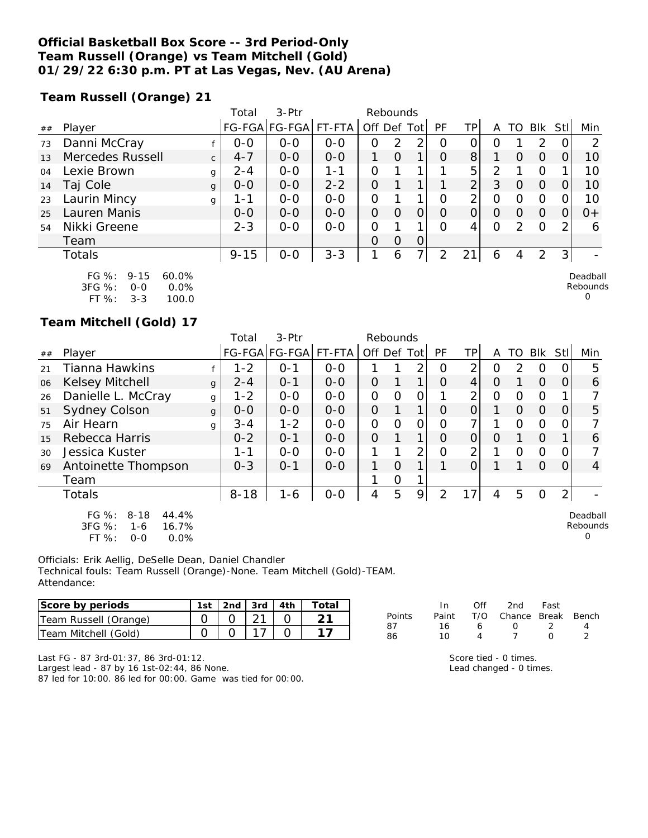## **Official Basketball Box Score -- 3rd Period-Only Team Russell (Orange) vs Team Mitchell (Gold) 01/29/22 6:30 p.m. PT at Las Vegas, Nev. (AU Arena)**

**Team Russell (Orange) 21**

|    |                        |              | Total    | $3-Ptr$       |         |         | Rebounds |                |          |                 |          |          |            |                |          |
|----|------------------------|--------------|----------|---------------|---------|---------|----------|----------------|----------|-----------------|----------|----------|------------|----------------|----------|
| ## | Player                 |              |          | FG-FGA FG-FGA | FT-FTA  | Off Def |          | Tot            | PF       | TP <sub>1</sub> | Α        | TΟ       | <b>BIK</b> | Stll           | Min      |
| 73 | Danni McCray           |              | $0 - 0$  | $0 - 0$       | $O - O$ | 0       | 2        | 2              | O        | 0               | Ο        |          | 2          | O              | ⌒        |
| 13 | Mercedes Russell       | $\mathsf{C}$ | $4 - 7$  | $0 - 0$       | $0 - 0$ |         | $\Omega$ | 1              | $\Omega$ | 8               |          | $\Omega$ | $\Omega$   |                | 10       |
| 04 | Lexie Brown            | g            | $2 - 4$  | $0 - 0$       | 1-1     | 0       |          |                |          | 5               | 2        |          | O          |                | 10       |
| 14 | Taj Cole               | g            | $0 - 0$  | $0 - 0$       | $2 - 2$ | O       |          |                |          | C               | 3        | O        | $\Omega$   |                | 10       |
| 23 | Laurin Mincy           | g            | 1-1      | $0 - 0$       | $O - O$ | O       |          |                | 0        | っ               | 0        | O        | $\Omega$   |                | 10       |
| 25 | Lauren Manis           |              | $0 - 0$  | $0 - 0$       | $0 - 0$ | 0       | $\Omega$ | 0              | $\Omega$ | O               | $\Omega$ | $\Omega$ | $\Omega$   |                | $0+$     |
| 54 | Nikki Greene           |              | $2 - 3$  | $0 - 0$       | $0 - 0$ | O       |          |                | $\Omega$ | 4               | $\Omega$ | 2        | $\Omega$   | $\mathcal{P}$  | 6        |
|    | Team                   |              |          |               |         | O       | $\Omega$ | $\Omega$       |          |                 |          |          |            |                |          |
|    | Totals                 |              | $9 - 15$ | $O-O$         | $3 - 3$ | 1       | 6        | $\overline{7}$ | 2        | 21              | 6        | 4        | 2          | 3 <sup>1</sup> |          |
|    | FG $\%: 9-15$<br>60.0% |              |          |               |         |         |          |                |          |                 |          |          |            |                | Deadball |

| FG 70.     | ר. ו- ד | 0U.U%   |
|------------|---------|---------|
| $3FG \%$ : | റ-റ     | $0.0\%$ |
| FT %:      | $3 - 3$ | 100.0   |

**Team Mitchell (Gold) 17**

|    |                                                                                          |              | Total    | 3-Ptr                |         | Rebounds    |          |          |          |                |          |          |            |            |                                  |
|----|------------------------------------------------------------------------------------------|--------------|----------|----------------------|---------|-------------|----------|----------|----------|----------------|----------|----------|------------|------------|----------------------------------|
| ## | Player                                                                                   |              |          | FG-FGA FG-FGA FT-FTA |         | Off Def Tot |          |          | PF       | ΤP             | A        | TO       | <b>Blk</b> | <b>Stl</b> | Min                              |
| 21 | <b>Tianna Hawkins</b>                                                                    |              | $1 - 2$  | $O - 1$              | $0 - 0$ |             |          | 2        | $\Omega$ | 2              | O        | 2        | $\Omega$   | 0          | 5                                |
| 06 | <b>Kelsey Mitchell</b>                                                                   | $\mathbf{q}$ | $2 - 4$  | $O - 1$              | $0 - 0$ | $\Omega$    |          |          | $\Omega$ | $\overline{4}$ | $\Omega$ |          | $\Omega$   | $\Omega$   | 6                                |
| 26 | Danielle L. McCray                                                                       | g            | $1 - 2$  | $0 - 0$              | $0 - 0$ | $\Omega$    | 0        | 0        |          | $\overline{2}$ | $\circ$  | $\circ$  | $\Omega$   |            |                                  |
| 51 | <b>Sydney Colson</b>                                                                     | $\mathbf{q}$ | $O - O$  | $0 - 0$              | $0 - 0$ | $\Omega$    |          |          | $\Omega$ | $\Omega$       |          | $\Omega$ | $\Omega$   | $\Omega$   | 5                                |
| 75 | Air Hearn                                                                                | g            | $3 - 4$  | $1 - 2$              | $0 - 0$ | 0           | $\Omega$ | $\Omega$ | 0        |                |          | $\Omega$ | $\Omega$   | O          |                                  |
| 15 | Rebecca Harris                                                                           |              | $0 - 2$  | $O - 1$              | $0 - 0$ | $\Omega$    |          |          | $\Omega$ | $\Omega$       | $\Omega$ |          | $\Omega$   |            | 6                                |
| 30 | Jessica Kuster                                                                           |              | 1-1      | $0 - 0$              | $0 - 0$ |             |          | 2        | $\Omega$ | $\overline{2}$ |          | $\Omega$ | $\Omega$   | 0          |                                  |
| 69 | Antoinette Thompson                                                                      |              | $0 - 3$  | $O - 1$              | $0 - 0$ |             | $\Omega$ |          |          | $\Omega$       |          |          | $\Omega$   | 0          | 4                                |
|    | Team                                                                                     |              |          |                      |         |             | O        |          |          |                |          |          |            |            |                                  |
|    | <b>Totals</b>                                                                            |              | $8 - 18$ | $1 - 6$              | $O-O$   | 4           | 5        | 9        | 2        | $\overline{7}$ | 4        | 5        | $\Omega$   | 2          |                                  |
|    | $FG \%$ :<br>$8 - 18$<br>44.4%<br>3FG %:<br>16.7%<br>$1 - 6$<br>FT %:<br>0.0%<br>$0 - 0$ |              |          |                      |         |             |          |          |          |                |          |          |            |            | Deadball<br>Rebounds<br>$\Omega$ |

Officials: Erik Aellig, DeSelle Dean, Daniel Chandler Technical fouls: Team Russell (Orange)-None. Team Mitchell (Gold)-TEAM. Attendance:

| Score by periods      | 1st | 2nd $\sqrt{3}$ rd $\sqrt{4}$ th | Totai |
|-----------------------|-----|---------------------------------|-------|
| Team Russell (Orange) |     |                                 |       |
| Team Mitchell (Gold)  |     |                                 |       |

|        | In.   | Off       | 2nd                    | Fast           |   |
|--------|-------|-----------|------------------------|----------------|---|
| Points | Paint |           | T/O Chance Break Bench |                |   |
| 87     | 16.   | 6         | $\left( \right)$       | $\overline{2}$ | Δ |
| 86     | 10    | $\Lambda$ |                        | $\cap$         |   |

Rebounds 0

Last FG - 87 3rd-01:37, 86 3rd-01:12.

Largest lead - 87 by 16 1st-02:44, 86 None.

87 led for 10:00. 86 led for 00:00. Game was tied for 00:00.

| Score tied - 0 times.   |
|-------------------------|
| Lead changed - 0 times. |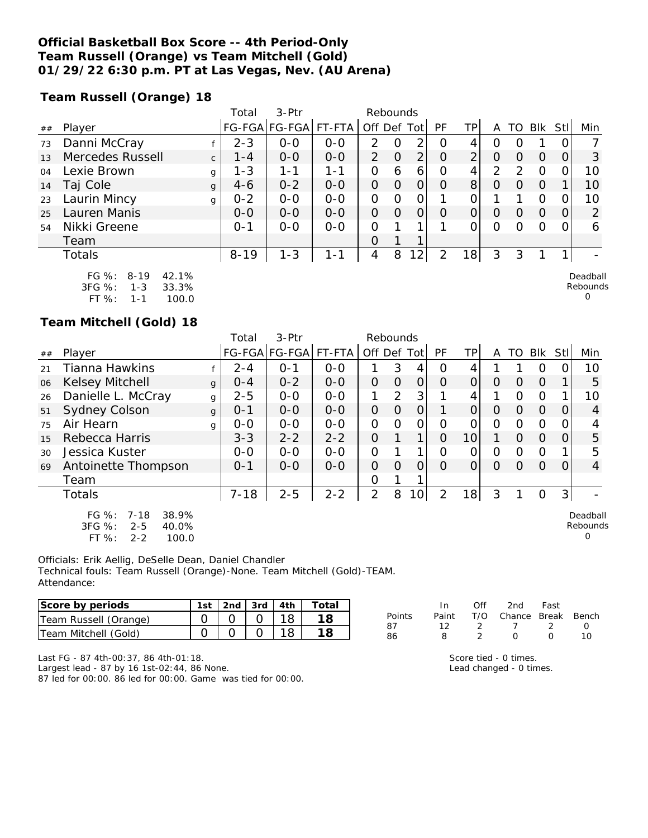## **Official Basketball Box Score -- 4th Period-Only Team Russell (Orange) vs Team Mitchell (Gold) 01/29/22 6:30 p.m. PT at Las Vegas, Nev. (AU Arena)**

**Team Russell (Orange) 18**

|    |                                |              | Total    | $3-Ptr$ |         |                | Rebounds |                |          |                 |                  |    |            |      |          |
|----|--------------------------------|--------------|----------|---------|---------|----------------|----------|----------------|----------|-----------------|------------------|----|------------|------|----------|
| ## | Player                         |              | FG-FGA   | FG-FGA  | FT-FTA  | Off Def        |          | Tot            | PF       | TP              | A                | TO | <b>Blk</b> | Stll | Min      |
| 73 | Danni McCray                   |              | $2 - 3$  | $0-0$   | $0-0$   | 2              | $\Omega$ | 2              | $\Omega$ | 4               | $\left( \right)$ |    |            |      |          |
| 13 | Mercedes Russell               | $\mathsf{C}$ | $1 - 4$  | $0 - 0$ | $0 - 0$ | $\overline{2}$ | $\Omega$ | $\overline{2}$ | $\Omega$ | 2               | $\circ$          | O  | $\Omega$   |      | 3        |
| 04 | Lexie Brown                    | g            | $1 - 3$  | $1 - 1$ | 1-1     | 0              | 6        | 6              | $\Omega$ | 4               | $\mathcal{P}$    | っ  | $\Omega$   |      | 10       |
| 14 | Taj Cole                       | g            | $4-6$    | $0 - 2$ | $0 - 0$ | 0              | $\Omega$ | $\Omega$       | $\Omega$ | 8 <sup>1</sup>  | O                | O  | $\Omega$   |      | 10       |
| 23 | Laurin Mincy                   | g            | $0 - 2$  | $0 - 0$ | $0-0$   | $\Omega$       | ∩        | $\mathcal{O}$  |          |                 |                  |    | $\Omega$   |      | 10       |
| 25 | Lauren Manis                   |              | $0 - 0$  | $0 - 0$ | $0 - 0$ | 0              | $\Omega$ | $\Omega$       | $\Omega$ | $\Omega$        | $\Omega$         | 0  | $\Omega$   | 0    | 2        |
| 54 | Nikki Greene                   |              | $O - 1$  | $0-0$   | $0 - 0$ | $\Omega$       |          |                |          |                 | O                |    | $\Omega$   |      | 6        |
|    | Team                           |              |          |         |         | $\Omega$       |          | ◀              |          |                 |                  |    |            |      |          |
|    | Totals                         |              | $8 - 19$ | $1 - 3$ | 1-1     | 4              | 8        | $^{\circ}2$    | 2        | 18 <sub>1</sub> | 3                |    |            |      |          |
|    | FG $\%$ :<br>$8 - 19$<br>42.1% |              |          |         |         |                |          |                |          |                 |                  |    |            |      | Deadball |

| FU 70.     | O-17    | 42.IZO |
|------------|---------|--------|
| $3FG \%$ : | $1 - 3$ | 33.3%  |
| FT $\%$ :  | 1-1     | 100.0  |

**Team Mitchell (Gold) 18**

|    |                                                                                             |              | Total    | $3-$ Ptr             |         | Rebounds       |          |                 |                |                 |          |          |          |          |                           |
|----|---------------------------------------------------------------------------------------------|--------------|----------|----------------------|---------|----------------|----------|-----------------|----------------|-----------------|----------|----------|----------|----------|---------------------------|
| ## | Player                                                                                      |              |          | FG-FGA FG-FGA FT-FTA |         | Off Def Tot    |          |                 | PF             | ΤP              | A        | TO       | Blk      | Stll     | Min                       |
| 21 | <b>Tianna Hawkins</b>                                                                       |              | $2 - 4$  | $O - 1$              | $0 - 0$ |                | 3        | 4               | $\Omega$       | 4               |          |          | O        | 0        | 10                        |
| 06 | <b>Kelsey Mitchell</b>                                                                      | $\mathbf{q}$ | $0 - 4$  | $0 - 2$              | $0 - 0$ | $\Omega$       | $\Omega$ | $\Omega$        | $\Omega$       | 0               | $\Omega$ | $\Omega$ | $\Omega$ |          | 5                         |
| 26 | Danielle L. McCray                                                                          | g            | $2 - 5$  | $0 - 0$              | $0 - 0$ |                | 2        | 3               |                | 4               |          | $\Omega$ | $\Omega$ |          | 10                        |
| 51 | Sydney Colson                                                                               | g            | $O - 1$  | $0 - 0$              | $0 - 0$ | $\overline{O}$ | $\Omega$ | $\Omega$        |                | $\Omega$        | $\Omega$ | $\Omega$ | $\Omega$ | $\Omega$ | $\overline{4}$            |
| 75 | Air Hearn                                                                                   | q            | $0 - 0$  | $0 - 0$              | $0 - 0$ | $\Omega$       | $\Omega$ | $\Omega$        | $\Omega$       | $\circ$         | $\Omega$ | $\circ$  | $\Omega$ | 0        | 4                         |
| 15 | Rebecca Harris                                                                              |              | $3 - 3$  | $2 - 2$              | $2 - 2$ | $\Omega$       |          |                 | $\Omega$       | 10              |          | $\Omega$ | $\Omega$ | $\Omega$ | 5                         |
| 30 | Jessica Kuster                                                                              |              | $0 - 0$  | $0 - 0$              | $0 - 0$ | 0              |          |                 | $\Omega$       | O               | O        | $\circ$  | $\Omega$ |          | 5                         |
| 69 | Antoinette Thompson                                                                         |              | $0 - 1$  | $0 - 0$              | $0 - 0$ | $\Omega$       | $\Omega$ | $\Omega$        | $\Omega$       | $\Omega$        | $\Omega$ | $\Omega$ | $\Omega$ | 0        | $\overline{4}$            |
|    | Team                                                                                        |              |          |                      |         | O              |          |                 |                |                 |          |          |          |          |                           |
|    | Totals                                                                                      |              | $7 - 18$ | $2 - 5$              | $2 - 2$ | $\overline{2}$ | 8        | 10 <sup>1</sup> | $\overline{2}$ | 18 <sub>1</sub> | 3        |          | $\Omega$ | 3        |                           |
|    | $FG \%$ :<br>38.9%<br>$7 - 18$<br>3FG %:<br>$2 - 5$<br>40.0%<br>100.0<br>$FT$ %:<br>$2 - 2$ |              |          |                      |         |                |          |                 |                |                 |          |          |          |          | Deadball<br>Rebounds<br>0 |

Officials: Erik Aellig, DeSelle Dean, Daniel Chandler Technical fouls: Team Russell (Orange)-None. Team Mitchell (Gold)-TEAM. Attendance:

| Score by periods      | 1st | 2nd $\frac{1}{3}$ 3rd $\frac{1}{4}$ 4th | Totai |
|-----------------------|-----|-----------------------------------------|-------|
| Team Russell (Orange) |     |                                         | 18.   |
| ITeam Mitchell (Gold) |     |                                         | 18.   |

|        | In In | ∩ff | 2nd Fast                     |          |                  |
|--------|-------|-----|------------------------------|----------|------------------|
| Points |       |     | Paint T/O Chance Break Bench |          |                  |
| 87     | 12    |     | 2 7 2                        |          | $\left( \right)$ |
| 86     | 8     |     | $\cap$                       | $\Omega$ | 10               |
|        |       |     |                              |          |                  |

Rebounds 0

Last FG - 87 4th-00:37, 86 4th-01:18.

Largest lead - 87 by 16 1st-02:44, 86 None.

87 led for 00:00. 86 led for 00:00. Game was tied for 00:00.

Score tied - 0 times. Lead changed - 0 times.